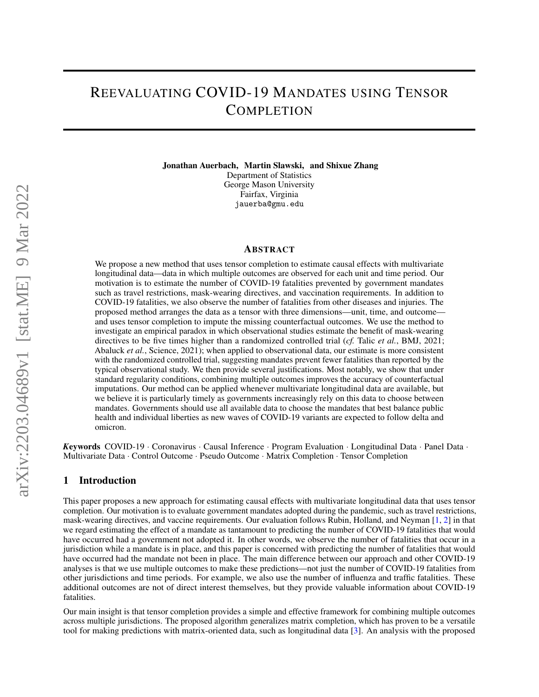# REEVALUATING COVID-19 MANDATES USING TENSOR **COMPLETION**

Jonathan Auerbach, Martin Slawski, and Shixue Zhang Department of Statistics George Mason University Fairfax, Virginia jauerba@gmu.edu

## ABSTRACT

We propose a new method that uses tensor completion to estimate causal effects with multivariate longitudinal data—data in which multiple outcomes are observed for each unit and time period. Our motivation is to estimate the number of COVID-19 fatalities prevented by government mandates such as travel restrictions, mask-wearing directives, and vaccination requirements. In addition to COVID-19 fatalities, we also observe the number of fatalities from other diseases and injuries. The proposed method arranges the data as a tensor with three dimensions—unit, time, and outcome and uses tensor completion to impute the missing counterfactual outcomes. We use the method to investigate an empirical paradox in which observational studies estimate the benefit of mask-wearing directives to be five times higher than a randomized controlled trial (*cf.* Talic *et al.*, BMJ, 2021; Abaluck *et al.*, Science, 2021); when applied to observational data, our estimate is more consistent with the randomized controlled trial, suggesting mandates prevent fewer fatalities than reported by the typical observational study. We then provide several justifications. Most notably, we show that under standard regularity conditions, combining multiple outcomes improves the accuracy of counterfactual imputations. Our method can be applied whenever multivariate longitudinal data are available, but we believe it is particularly timely as governments increasingly rely on this data to choose between mandates. Governments should use all available data to choose the mandates that best balance public health and individual liberties as new waves of COVID-19 variants are expected to follow delta and omicron.

*K*eywords COVID-19 · Coronavirus · Causal Inference · Program Evaluation · Longitudinal Data · Panel Data · Multivariate Data · Control Outcome · Pseudo Outcome · Matrix Completion · Tensor Completion

# 1 Introduction

This paper proposes a new approach for estimating causal effects with multivariate longitudinal data that uses tensor completion. Our motivation is to evaluate government mandates adopted during the pandemic, such as travel restrictions, mask-wearing directives, and vaccine requirements. Our evaluation follows Rubin, Holland, and Neyman [\[1,](#page-21-0) [2\]](#page-21-1) in that we regard estimating the effect of a mandate as tantamount to predicting the number of COVID-19 fatalities that would have occurred had a government not adopted it. In other words, we observe the number of fatalities that occur in a jurisdiction while a mandate is in place, and this paper is concerned with predicting the number of fatalities that would have occurred had the mandate not been in place. The main difference between our approach and other COVID-19 analyses is that we use multiple outcomes to make these predictions—not just the number of COVID-19 fatalities from other jurisdictions and time periods. For example, we also use the number of influenza and traffic fatalities. These additional outcomes are not of direct interest themselves, but they provide valuable information about COVID-19 fatalities.

Our main insight is that tensor completion provides a simple and effective framework for combining multiple outcomes across multiple jurisdictions. The proposed algorithm generalizes matrix completion, which has proven to be a versatile tool for making predictions with matrix-oriented data, such as longitudinal data [\[3\]](#page-21-2). An analysis with the proposed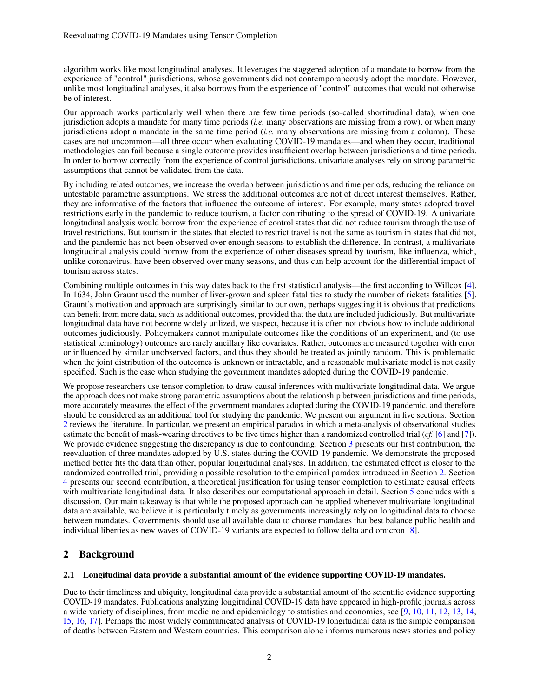algorithm works like most longitudinal analyses. It leverages the staggered adoption of a mandate to borrow from the experience of "control" jurisdictions, whose governments did not contemporaneously adopt the mandate. However, unlike most longitudinal analyses, it also borrows from the experience of "control" outcomes that would not otherwise be of interest.

Our approach works particularly well when there are few time periods (so-called shortitudinal data), when one jurisdiction adopts a mandate for many time periods (*i.e.* many observations are missing from a row), or when many jurisdictions adopt a mandate in the same time period (*i.e.* many observations are missing from a column). These cases are not uncommon—all three occur when evaluating COVID-19 mandates—and when they occur, traditional methodologies can fail because a single outcome provides insufficient overlap between jurisdictions and time periods. In order to borrow correctly from the experience of control jurisdictions, univariate analyses rely on strong parametric assumptions that cannot be validated from the data.

By including related outcomes, we increase the overlap between jurisdictions and time periods, reducing the reliance on untestable parametric assumptions. We stress the additional outcomes are not of direct interest themselves. Rather, they are informative of the factors that influence the outcome of interest. For example, many states adopted travel restrictions early in the pandemic to reduce tourism, a factor contributing to the spread of COVID-19. A univariate longitudinal analysis would borrow from the experience of control states that did not reduce tourism through the use of travel restrictions. But tourism in the states that elected to restrict travel is not the same as tourism in states that did not, and the pandemic has not been observed over enough seasons to establish the difference. In contrast, a multivariate longitudinal analysis could borrow from the experience of other diseases spread by tourism, like influenza, which, unlike coronavirus, have been observed over many seasons, and thus can help account for the differential impact of tourism across states.

Combining multiple outcomes in this way dates back to the first statistical analysis—the first according to Willcox [\[4\]](#page-21-3). In 1634, John Graunt used the number of liver-grown and spleen fatalities to study the number of rickets fatalities [\[5\]](#page-21-4). Graunt's motivation and approach are surprisingly similar to our own, perhaps suggesting it is obvious that predictions can benefit from more data, such as additional outcomes, provided that the data are included judiciously. But multivariate longitudinal data have not become widely utilized, we suspect, because it is often not obvious how to include additional outcomes judiciously. Policymakers cannot manipulate outcomes like the conditions of an experiment, and (to use statistical terminology) outcomes are rarely ancillary like covariates. Rather, outcomes are measured together with error or influenced by similar unobserved factors, and thus they should be treated as jointly random. This is problematic when the joint distribution of the outcomes is unknown or intractable, and a reasonable multivariate model is not easily specified. Such is the case when studying the government mandates adopted during the COVID-19 pandemic.

We propose researchers use tensor completion to draw causal inferences with multivariate longitudinal data. We argue the approach does not make strong parametric assumptions about the relationship between jurisdictions and time periods, more accurately measures the effect of the government mandates adopted during the COVID-19 pandemic, and therefore should be considered as an additional tool for studying the pandemic. We present our argument in five sections. Section [2](#page-1-0) reviews the literature. In particular, we present an empirical paradox in which a meta-analysis of observational studies estimate the benefit of mask-wearing directives to be five times higher than a randomized controlled trial (*cf.* [\[6\]](#page-21-5) and [\[7\]](#page-21-6)). We provide evidence suggesting the discrepancy is due to confounding. Section [3](#page-6-0) presents our first contribution, the reevaluation of three mandates adopted by U.S. states during the COVID-19 pandemic. We demonstrate the proposed method better fits the data than other, popular longitudinal analyses. In addition, the estimated effect is closer to the randomized controlled trial, providing a possible resolution to the empirical paradox introduced in Section [2.](#page-1-0) Section [4](#page-15-0) presents our second contribution, a theoretical justification for using tensor completion to estimate causal effects with multivariate longitudinal data. It also describes our computational approach in detail. Section [5](#page-19-0) concludes with a discussion. Our main takeaway is that while the proposed approach can be applied whenever multivariate longitudinal data are available, we believe it is particularly timely as governments increasingly rely on longitudinal data to choose between mandates. Governments should use all available data to choose mandates that best balance public health and individual liberties as new waves of COVID-19 variants are expected to follow delta and omicron [\[8\]](#page-21-7).

# <span id="page-1-0"></span>2 Background

## <span id="page-1-1"></span>2.1 Longitudinal data provide a substantial amount of the evidence supporting COVID-19 mandates.

Due to their timeliness and ubiquity, longitudinal data provide a substantial amount of the scientific evidence supporting COVID-19 mandates. Publications analyzing longitudinal COVID-19 data have appeared in high-profile journals across a wide variety of disciplines, from medicine and epidemiology to statistics and economics, see [\[9,](#page-21-8) [10,](#page-21-9) [11,](#page-21-10) [12,](#page-21-11) [13,](#page-21-12) [14,](#page-21-13) [15,](#page-21-14) [16,](#page-21-15) [17\]](#page-21-16). Perhaps the most widely communicated analysis of COVID-19 longitudinal data is the simple comparison of deaths between Eastern and Western countries. This comparison alone informs numerous news stories and policy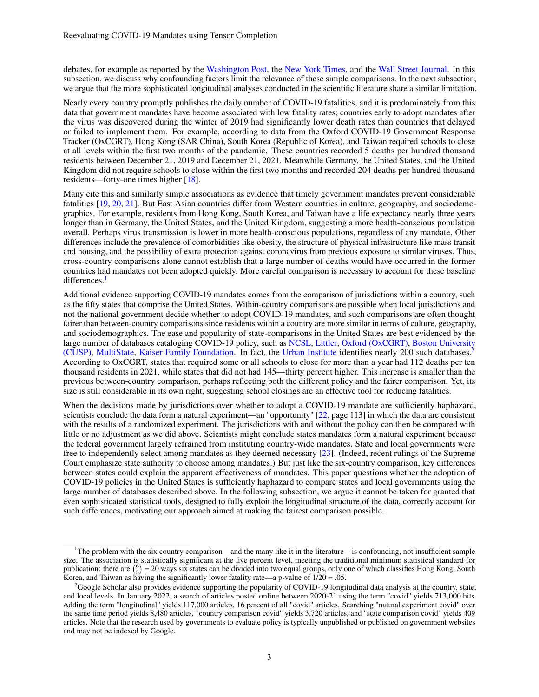debates, for example as reported by the [Washington Post,](https://www.washingtonpost.com/world/europe/schools-reopening-coronavirus/2020/07/10/865fb3e6-c122-11ea-8908-68a2b9eae9e0_story.html) the [New York Times,](https://www.nytimes.com/2020/06/06/world/asia/japan-coronavirus-masks.html) and the [Wall Street Journal.](https://www.wsj.com/articles/which-countries-have-responded-best-to-covid-19-11609516800) In this subsection, we discuss why confounding factors limit the relevance of these simple comparisons. In the next subsection, we argue that the more sophisticated longitudinal analyses conducted in the scientific literature share a similar limitation.

Nearly every country promptly publishes the daily number of COVID-19 fatalities, and it is predominately from this data that government mandates have become associated with low fatality rates; countries early to adopt mandates after the virus was discovered during the winter of 2019 had significantly lower death rates than countries that delayed or failed to implement them. For example, according to data from the Oxford COVID-19 Government Response Tracker (OxCGRT), Hong Kong (SAR China), South Korea (Republic of Korea), and Taiwan required schools to close at all levels within the first two months of the pandemic. These countries recorded 5 deaths per hundred thousand residents between December 21, 2019 and December 21, 2021. Meanwhile Germany, the United States, and the United Kingdom did not require schools to close within the first two months and recorded 204 deaths per hundred thousand residents—forty-one times higher [\[18\]](#page-21-17).

Many cite this and similarly simple associations as evidence that timely government mandates prevent considerable fatalities [\[19,](#page-21-18) [20,](#page-22-0) [21\]](#page-22-1). But East Asian countries differ from Western countries in culture, geography, and sociodemographics. For example, residents from Hong Kong, South Korea, and Taiwan have a life expectancy nearly three years longer than in Germany, the United States, and the United Kingdom, suggesting a more health-conscious population overall. Perhaps virus transmission is lower in more health-conscious populations, regardless of any mandate. Other differences include the prevalence of comorbidities like obesity, the structure of physical infrastructure like mass transit and housing, and the possibility of extra protection against coronavirus from previous exposure to similar viruses. Thus, cross-country comparisons alone cannot establish that a large number of deaths would have occurred in the former countries had mandates not been adopted quickly. More careful comparison is necessary to account for these baseline differences.<sup>[1](#page-2-0)</sup>

Additional evidence supporting COVID-19 mandates comes from the comparison of jurisdictions within a country, such as the fifty states that comprise the United States. Within-country comparisons are possible when local jurisdictions and not the national government decide whether to adopt COVID-19 mandates, and such comparisons are often thought fairer than between-country comparisons since residents within a country are more similar in terms of culture, geography, and sociodemographics. The ease and popularity of state-comparisons in the United States are best evidenced by the large number of databases cataloging COVID-19 policy, such as [NCSL,](https://www.ncsl.org/research/health/state-action-on-coronavirus-covid-19.aspx) [Littler,](https://www.littler.com/covid-19) [Oxford \(OxCGRT\),](https://www.bsg.ox.ac.uk/research/research-projects/covid-19-government-response-tracker) [Boston University](https://statepolicies.com/) [\(CUSP\),](https://statepolicies.com/) [MultiState,](https://www.multistate.us/issues/covid-19-policy-tracker) [Kaiser Family Foundation.](https://www.kff.org/coronavirus-covid-19/issue-brief/state-covid-19-data-and-policy-actions/) In fact, the [Urban Institute](https://www.urban.org/policy-centers/health-policy-center/projects/covid-19-resource-tracker-guide-state-and-local-responses) identifies nearly 200 such databases.[2](#page-2-1) According to OxCGRT, states that required some or all schools to close for more than a year had 112 deaths per ten thousand residents in 2021, while states that did not had 145—thirty percent higher. This increase is smaller than the previous between-country comparison, perhaps reflecting both the different policy and the fairer comparison. Yet, its size is still considerable in its own right, suggesting school closings are an effective tool for reducing fatalities.

When the decisions made by jurisdictions over whether to adopt a COVID-19 mandate are sufficiently haphazard, scientists conclude the data form a natural experiment—an "opportunity" [\[22,](#page-22-2) page 113] in which the data are consistent with the results of a randomized experiment. The jurisdictions with and without the policy can then be compared with little or no adjustment as we did above. Scientists might conclude states mandates form a natural experiment because the federal government largely refrained from instituting country-wide mandates. State and local governments were free to independently select among mandates as they deemed necessary [\[23\]](#page-22-3). (Indeed, recent rulings of the Supreme Court emphasize state authority to choose among mandates.) But just like the six-country comparison, key differences between states could explain the apparent effectiveness of mandates. This paper questions whether the adoption of COVID-19 policies in the United States is sufficiently haphazard to compare states and local governments using the large number of databases described above. In the following subsection, we argue it cannot be taken for granted that even sophisticated statistical tools, designed to fully exploit the longitudinal structure of the data, correctly account for such differences, motivating our approach aimed at making the fairest comparison possible.

<span id="page-2-0"></span> $1$ The problem with the six country comparison—and the many like it in the literature—is confounding, not insufficient sample size. The association is statistically significant at the five percent level, meeting the traditional minimum statistical standard for publication: there are  $\binom{6}{3}$  = 20 ways six states can be divided into two equal groups, only one of which classifies Hong Kong, South Korea, and Taiwan as having the significantly lower fatality rate—a p-value of  $1/20 = .05$ .

<span id="page-2-1"></span><sup>&</sup>lt;sup>2</sup>Google Scholar also provides evidence supporting the popularity of COVID-19 longitudinal data analysis at the country, state, and local levels. In January 2022, a search of articles posted online between 2020-21 using the term "covid" yields 713,000 hits. Adding the term "longitudinal" yields 117,000 articles, 16 percent of all "covid" articles. Searching "natural experiment covid" over the same time period yields 8,480 articles, "country comparison covid" yields 3,720 articles, and "state comparison covid" yields 409 articles. Note that the research used by governments to evaluate policy is typically unpublished or published on government websites and may not be indexed by Google.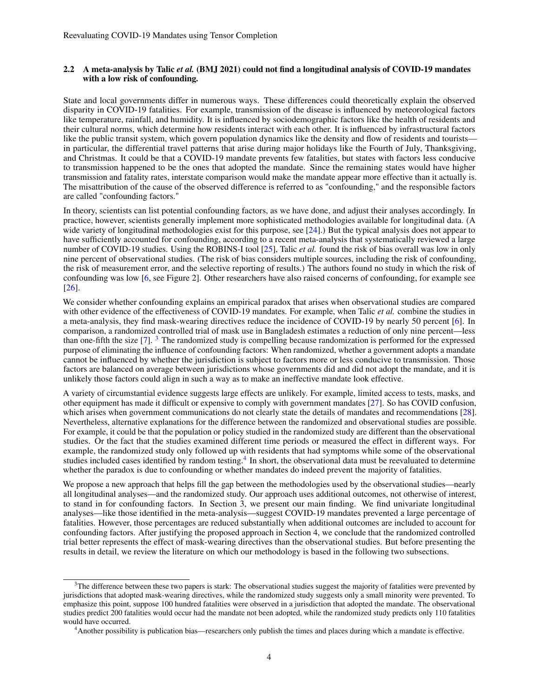## 2.2 A meta-analysis by Talic *et al.* (BMJ 2021) could not find a longitudinal analysis of COVID-19 mandates with a low risk of confounding.

State and local governments differ in numerous ways. These differences could theoretically explain the observed disparity in COVID-19 fatalities. For example, transmission of the disease is influenced by meteorological factors like temperature, rainfall, and humidity. It is influenced by sociodemographic factors like the health of residents and their cultural norms, which determine how residents interact with each other. It is influenced by infrastructural factors like the public transit system, which govern population dynamics like the density and flow of residents and tourists in particular, the differential travel patterns that arise during major holidays like the Fourth of July, Thanksgiving, and Christmas. It could be that a COVID-19 mandate prevents few fatalities, but states with factors less conducive to transmission happened to be the ones that adopted the mandate. Since the remaining states would have higher transmission and fatality rates, interstate comparison would make the mandate appear more effective than it actually is. The misattribution of the cause of the observed difference is referred to as "confounding," and the responsible factors are called "confounding factors."

In theory, scientists can list potential confounding factors, as we have done, and adjust their analyses accordingly. In practice, however, scientists generally implement more sophisticated methodologies available for longitudinal data. (A wide variety of longitudinal methodologies exist for this purpose, see [\[24\]](#page-22-4). But the typical analysis does not appear to have sufficiently accounted for confounding, according to a recent meta-analysis that systematically reviewed a large number of COVID-19 studies. Using the ROBINS-I tool [\[25\]](#page-22-5), Talic *et al.* found the risk of bias overall was low in only nine percent of observational studies. (The risk of bias considers multiple sources, including the risk of confounding, the risk of measurement error, and the selective reporting of results.) The authors found no study in which the risk of confounding was low [\[6,](#page-21-5) see Figure 2]. Other researchers have also raised concerns of confounding, for example see [\[26\]](#page-22-6).

We consider whether confounding explains an empirical paradox that arises when observational studies are compared with other evidence of the effectiveness of COVID-19 mandates. For example, when Talic *et al.* combine the studies in a meta-analysis, they find mask-wearing directives reduce the incidence of COVID-19 by nearly 50 percent [\[6\]](#page-21-5). In comparison, a randomized controlled trial of mask use in Bangladesh estimates a reduction of only nine percent—less than one-fifth the size [\[7\]](#page-21-6). [3](#page-3-0) The randomized study is compelling because randomization is performed for the expressed purpose of eliminating the influence of confounding factors: When randomized, whether a government adopts a mandate cannot be influenced by whether the jurisdiction is subject to factors more or less conducive to transmission. Those factors are balanced on average between jurisdictions whose governments did and did not adopt the mandate, and it is unlikely those factors could align in such a way as to make an ineffective mandate look effective.

A variety of circumstantial evidence suggests large effects are unlikely. For example, limited access to tests, masks, and other equipment has made it difficult or expensive to comply with government mandates [\[27\]](#page-22-7). So has COVID confusion, which arises when government communications do not clearly state the details of mandates and recommendations [\[28\]](#page-22-8). Nevertheless, alternative explanations for the difference between the randomized and observational studies are possible. For example, it could be that the population or policy studied in the randomized study are different than the observational studies. Or the fact that the studies examined different time periods or measured the effect in different ways. For example, the randomized study only followed up with residents that had symptoms while some of the observational studies included cases identified by random testing.<sup>[4](#page-3-1)</sup> In short, the observational data must be reevaluated to determine whether the paradox is due to confounding or whether mandates do indeed prevent the majority of fatalities.

We propose a new approach that helps fill the gap between the methodologies used by the observational studies—nearly all longitudinal analyses—and the randomized study. Our approach uses additional outcomes, not otherwise of interest, to stand in for confounding factors. In Section 3, we present our main finding. We find univariate longitudinal analyses—like those identified in the meta-analysis—suggest COVID-19 mandates prevented a large percentage of fatalities. However, those percentages are reduced substantially when additional outcomes are included to account for confounding factors. After justifying the proposed approach in Section 4, we conclude that the randomized controlled trial better represents the effect of mask-wearing directives than the observational studies. But before presenting the results in detail, we review the literature on which our methodology is based in the following two subsections.

<span id="page-3-0"></span> $3$ The difference between these two papers is stark: The observational studies suggest the majority of fatalities were prevented by jurisdictions that adopted mask-wearing directives, while the randomized study suggests only a small minority were prevented. To emphasize this point, suppose 100 hundred fatalities were observed in a jurisdiction that adopted the mandate. The observational studies predict 200 fatalities would occur had the mandate not been adopted, while the randomized study predicts only 110 fatalities would have occurred.

<span id="page-3-1"></span><sup>4</sup>Another possibility is publication bias—researchers only publish the times and places during which a mandate is effective.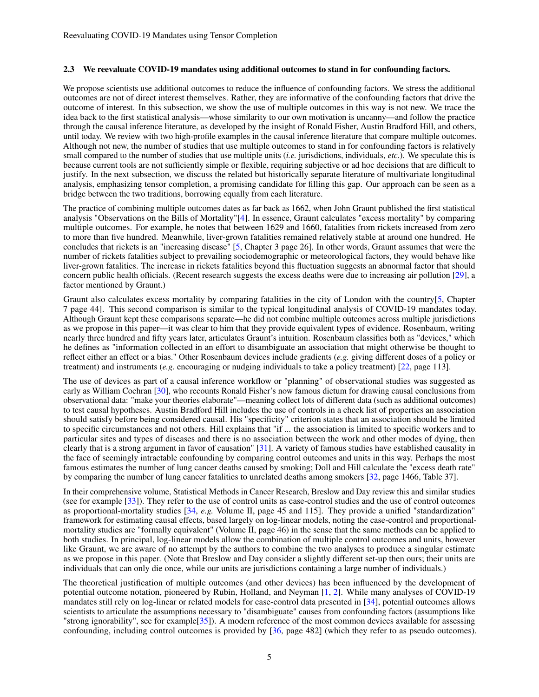#### <span id="page-4-0"></span>2.3 We reevaluate COVID-19 mandates using additional outcomes to stand in for confounding factors.

We propose scientists use additional outcomes to reduce the influence of confounding factors. We stress the additional outcomes are not of direct interest themselves. Rather, they are informative of the confounding factors that drive the outcome of interest. In this subsection, we show the use of multiple outcomes in this way is not new. We trace the idea back to the first statistical analysis—whose similarity to our own motivation is uncanny—and follow the practice through the causal inference literature, as developed by the insight of Ronald Fisher, Austin Bradford Hill, and others, until today. We review with two high-profile examples in the causal inference literature that compare multiple outcomes. Although not new, the number of studies that use multiple outcomes to stand in for confounding factors is relatively small compared to the number of studies that use multiple units (*i.e.* jurisdictions, individuals, *etc.*). We speculate this is because current tools are not sufficiently simple or flexible, requiring subjective or ad hoc decisions that are difficult to justify. In the next subsection, we discuss the related but historically separate literature of multivariate longitudinal analysis, emphasizing tensor completion, a promising candidate for filling this gap. Our approach can be seen as a bridge between the two traditions, borrowing equally from each literature.

The practice of combining multiple outcomes dates as far back as 1662, when John Graunt published the first statistical analysis "Observations on the Bills of Mortality"[\[4\]](#page-21-3). In essence, Graunt calculates "excess mortality" by comparing multiple outcomes. For example, he notes that between 1629 and 1660, fatalities from rickets increased from zero to more than five hundred. Meanwhile, liver-grown fatalities remained relatively stable at around one hundred. He concludes that rickets is an "increasing disease" [\[5,](#page-21-4) Chapter 3 page 26]. In other words, Graunt assumes that were the number of rickets fatalities subject to prevailing sociodemographic or meteorological factors, they would behave like liver-grown fatalities. The increase in rickets fatalities beyond this fluctuation suggests an abnormal factor that should concern public health officials. (Recent research suggests the excess deaths were due to increasing air pollution [\[29\]](#page-22-9), a factor mentioned by Graunt.)

Graunt also calculates excess mortality by comparing fatalities in the city of London with the country[\[5,](#page-21-4) Chapter 7 page 44]. This second comparison is similar to the typical longitudinal analysis of COVID-19 mandates today. Although Graunt kept these comparisons separate—he did not combine multiple outcomes across multiple jurisdictions as we propose in this paper—it was clear to him that they provide equivalent types of evidence. Rosenbaum, writing nearly three hundred and fifty years later, articulates Graunt's intuition. Rosenbaum classifies both as "devices," which he defines as "information collected in an effort to disambiguate an association that might otherwise be thought to reflect either an effect or a bias." Other Rosenbaum devices include gradients (*e.g.* giving different doses of a policy or treatment) and instruments (*e.g.* encouraging or nudging individuals to take a policy treatment) [\[22,](#page-22-2) page 113].

The use of devices as part of a causal inference workflow or "planning" of observational studies was suggested as early as William Cochran [\[30\]](#page-22-10), who recounts Ronald Fisher's now famous dictum for drawing causal conclusions from observational data: "make your theories elaborate"—meaning collect lots of different data (such as additional outcomes) to test causal hypotheses. Austin Bradford Hill includes the use of controls in a check list of properties an association should satisfy before being considered causal. His "specificity" criterion states that an association should be limited to specific circumstances and not others. Hill explains that "if ... the association is limited to specific workers and to particular sites and types of diseases and there is no association between the work and other modes of dying, then clearly that is a strong argument in favor of causation" [\[31\]](#page-22-11). A variety of famous studies have established causality in the face of seemingly intractable confounding by comparing control outcomes and units in this way. Perhaps the most famous estimates the number of lung cancer deaths caused by smoking; Doll and Hill calculate the "excess death rate" by comparing the number of lung cancer fatalities to unrelated deaths among smokers [\[32,](#page-22-12) page 1466, Table 37].

In their comprehensive volume, Statistical Methods in Cancer Research, Breslow and Day review this and similar studies (see for example [\[33\]](#page-22-13)). They refer to the use of control units as case-control studies and the use of control outcomes as proportional-mortality studies [\[34,](#page-22-14) *e.g.* Volume II, page 45 and 115]. They provide a unified "standardization" framework for estimating causal effects, based largely on log-linear models, noting the case-control and proportionalmortality studies are "formally equivalent" (Volume II, page 46) in the sense that the same methods can be applied to both studies. In principal, log-linear models allow the combination of multiple control outcomes and units, however like Graunt, we are aware of no attempt by the authors to combine the two analyses to produce a singular estimate as we propose in this paper. (Note that Breslow and Day consider a slightly different set-up then ours; their units are individuals that can only die once, while our units are jurisdictions containing a large number of individuals.)

The theoretical justification of multiple outcomes (and other devices) has been influenced by the development of potential outcome notation, pioneered by Rubin, Holland, and Neyman [\[1,](#page-21-0) [2\]](#page-21-1). While many analyses of COVID-19 mandates still rely on log-linear or related models for case-control data presented in [\[34\]](#page-22-14), potential outcomes allows scientists to articulate the assumptions necessary to "disambiguate" causes from confounding factors (assumptions like "strong ignorability", see for example[\[35\]](#page-22-15)). A modern reference of the most common devices available for assessing confounding, including control outcomes is provided by [\[36,](#page-22-16) page 482] (which they refer to as pseudo outcomes).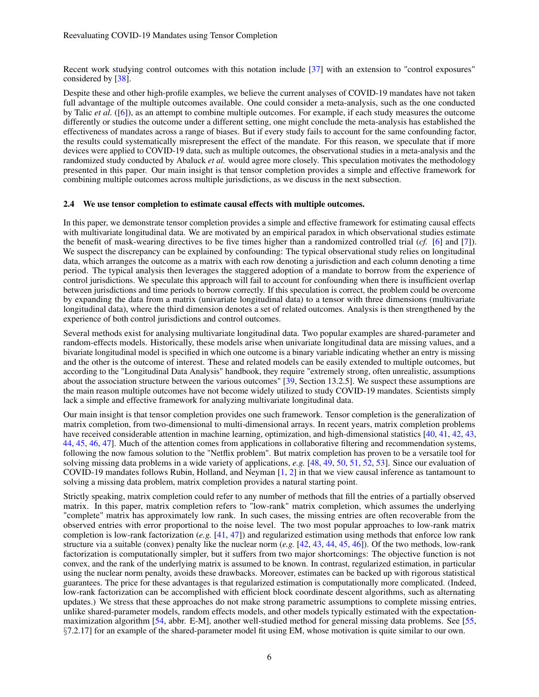Recent work studying control outcomes with this notation include [\[37\]](#page-22-17) with an extension to "control exposures" considered by [\[38\]](#page-22-18).

Despite these and other high-profile examples, we believe the current analyses of COVID-19 mandates have not taken full advantage of the multiple outcomes available. One could consider a meta-analysis, such as the one conducted by Talic *et al.* ([\[6\]](#page-21-5)), as an attempt to combine multiple outcomes. For example, if each study measures the outcome differently or studies the outcome under a different setting, one might conclude the meta-analysis has established the effectiveness of mandates across a range of biases. But if every study fails to account for the same confounding factor, the results could systematically misrepresent the effect of the mandate. For this reason, we speculate that if more devices were applied to COVID-19 data, such as multiple outcomes, the observational studies in a meta-analysis and the randomized study conducted by Abaluck *et al.* would agree more closely. This speculation motivates the methodology presented in this paper. Our main insight is that tensor completion provides a simple and effective framework for combining multiple outcomes across multiple jurisdictions, as we discuss in the next subsection.

## 2.4 We use tensor completion to estimate causal effects with multiple outcomes.

In this paper, we demonstrate tensor completion provides a simple and effective framework for estimating causal effects with multivariate longitudinal data. We are motivated by an empirical paradox in which observational studies estimate the benefit of mask-wearing directives to be five times higher than a randomized controlled trial (*cf.* [\[6\]](#page-21-5) and [\[7\]](#page-21-6)). We suspect the discrepancy can be explained by confounding: The typical observational study relies on longitudinal data, which arranges the outcome as a matrix with each row denoting a jurisdiction and each column denoting a time period. The typical analysis then leverages the staggered adoption of a mandate to borrow from the experience of control jurisdictions. We speculate this approach will fail to account for confounding when there is insufficient overlap between jurisdictions and time periods to borrow correctly. If this speculation is correct, the problem could be overcome by expanding the data from a matrix (univariate longitudinal data) to a tensor with three dimensions (multivariate longitudinal data), where the third dimension denotes a set of related outcomes. Analysis is then strengthened by the experience of both control jurisdictions and control outcomes.

Several methods exist for analysing multivariate longitudinal data. Two popular examples are shared-parameter and random-effects models. Historically, these models arise when univariate longitudinal data are missing values, and a bivariate longitudinal model is specified in which one outcome is a binary variable indicating whether an entry is missing and the other is the outcome of interest. These and related models can be easily extended to multiple outcomes, but according to the "Longitudinal Data Analysis" handbook, they require "extremely strong, often unrealistic, assumptions about the association structure between the various outcomes" [\[39,](#page-22-19) Section 13.2.5]. We suspect these assumptions are the main reason multiple outcomes have not become widely utilized to study COVID-19 mandates. Scientists simply lack a simple and effective framework for analyzing multivariate longitudinal data.

Our main insight is that tensor completion provides one such framework. Tensor completion is the generalization of matrix completion, from two-dimensional to multi-dimensional arrays. In recent years, matrix completion problems have received considerable attention in machine learning, optimization, and high-dimensional statistics [\[40,](#page-22-20) [41,](#page-22-21) [42,](#page-22-22) [43,](#page-22-23) [44,](#page-22-24) [45,](#page-22-25) [46,](#page-23-0) [47\]](#page-23-1). Much of the attention comes from applications in collaborative filtering and recommendation systems, following the now famous solution to the "Netflix problem". But matrix completion has proven to be a versatile tool for solving missing data problems in a wide variety of applications, *e.g.* [\[48,](#page-23-2) [49,](#page-23-3) [50,](#page-23-4) [51,](#page-23-5) [52,](#page-23-6) [53\]](#page-23-7). Since our evaluation of COVID-19 mandates follows Rubin, Holland, and Neyman [\[1,](#page-21-0) [2\]](#page-21-1) in that we view causal inference as tantamount to solving a missing data problem, matrix completion provides a natural starting point.

Strictly speaking, matrix completion could refer to any number of methods that fill the entries of a partially observed matrix. In this paper, matrix completion refers to "low-rank" matrix completion, which assumes the underlying "complete" matrix has approximately low rank. In such cases, the missing entries are often recoverable from the observed entries with error proportional to the noise level. The two most popular approaches to low-rank matrix completion is low-rank factorization (*e.g.* [\[41,](#page-22-21) [47\]](#page-23-1)) and regularized estimation using methods that enforce low rank structure via a suitable (convex) penalty like the nuclear norm (*e.g.* [\[42,](#page-22-22) [43,](#page-22-23) [44,](#page-22-24) [45,](#page-22-25) [46\]](#page-23-0)). Of the two methods, low-rank factorization is computationally simpler, but it suffers from two major shortcomings: The objective function is not convex, and the rank of the underlying matrix is assumed to be known. In contrast, regularized estimation, in particular using the nuclear norm penalty, avoids these drawbacks. Moreover, estimates can be backed up with rigorous statistical guarantees. The price for these advantages is that regularized estimation is computationally more complicated. (Indeed, low-rank factorization can be accomplished with efficient block coordinate descent algorithms, such as alternating updates.) We stress that these approaches do not make strong parametric assumptions to complete missing entries, unlike shared-parameter models, random effects models, and other models typically estimated with the expectationmaximization algorithm [\[54,](#page-23-8) abbr. E-M], another well-studied method for general missing data problems. See [\[55,](#page-23-9) §7.2.17] for an example of the shared-parameter model fit using EM, whose motivation is quite similar to our own.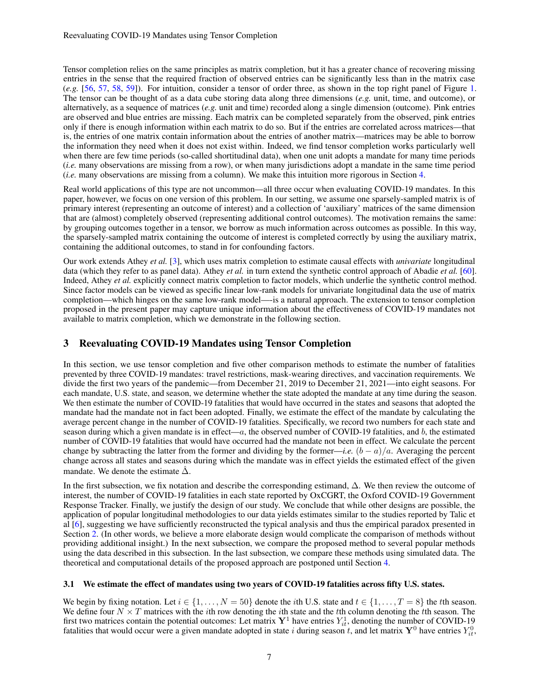Tensor completion relies on the same principles as matrix completion, but it has a greater chance of recovering missing entries in the sense that the required fraction of observed entries can be significantly less than in the matrix case (*e.g.* [\[56,](#page-23-10) [57,](#page-23-11) [58,](#page-23-12) [59\]](#page-23-13)). For intuition, consider a tensor of order three, as shown in the top right panel of Figure [1.](#page-7-0) The tensor can be thought of as a data cube storing data along three dimensions (*e.g.* unit, time, and outcome), or alternatively, as a sequence of matrices (*e.g.* unit and time) recorded along a single dimension (outcome). Pink entries are observed and blue entries are missing. Each matrix can be completed separately from the observed, pink entries only if there is enough information within each matrix to do so. But if the entries are correlated across matrices—that is, the entries of one matrix contain information about the entries of another matrix—matrices may be able to borrow the information they need when it does not exist within. Indeed, we find tensor completion works particularly well when there are few time periods (so-called shortitudinal data), when one unit adopts a mandate for many time periods (*i.e.* many observations are missing from a row), or when many jurisdictions adopt a mandate in the same time period (*i.e.* many observations are missing from a column). We make this intuition more rigorous in Section [4.](#page-15-0)

Real world applications of this type are not uncommon—all three occur when evaluating COVID-19 mandates. In this paper, however, we focus on one version of this problem. In our setting, we assume one sparsely-sampled matrix is of primary interest (representing an outcome of interest) and a collection of 'auxiliary' matrices of the same dimension that are (almost) completely observed (representing additional control outcomes). The motivation remains the same: by grouping outcomes together in a tensor, we borrow as much information across outcomes as possible. In this way, the sparsely-sampled matrix containing the outcome of interest is completed correctly by using the auxiliary matrix, containing the additional outcomes, to stand in for confounding factors.

Our work extends Athey *et al.* [\[3\]](#page-21-2), which uses matrix completion to estimate causal effects with *univariate* longitudinal data (which they refer to as panel data). Athey *et al.* in turn extend the synthetic control approach of Abadie *et al.* [\[60\]](#page-23-14). Indeed, Athey *et al.* explicitly connect matrix completion to factor models, which underlie the synthetic control method. Since factor models can be viewed as specific linear low-rank models for univariate longitudinal data the use of matrix completion—which hinges on the same low-rank model—-is a natural approach. The extension to tensor completion proposed in the present paper may capture unique information about the effectiveness of COVID-19 mandates not available to matrix completion, which we demonstrate in the following section.

# <span id="page-6-0"></span>3 Reevaluating COVID-19 Mandates using Tensor Completion

In this section, we use tensor completion and five other comparison methods to estimate the number of fatalities prevented by three COVID-19 mandates: travel restrictions, mask-wearing directives, and vaccination requirements. We divide the first two years of the pandemic—from December 21, 2019 to December 21, 2021—into eight seasons. For each mandate, U.S. state, and season, we determine whether the state adopted the mandate at any time during the season. We then estimate the number of COVID-19 fatalities that would have occurred in the states and seasons that adopted the mandate had the mandate not in fact been adopted. Finally, we estimate the effect of the mandate by calculating the average percent change in the number of COVID-19 fatalities. Specifically, we record two numbers for each state and season during which a given mandate is in effect— $a$ , the observed number of COVID-19 fatalities, and  $b$ , the estimated number of COVID-19 fatalities that would have occurred had the mandate not been in effect. We calculate the percent change by subtracting the latter from the former and dividing by the former—*i.e.*  $(b - a)/a$ . Averaging the percent change across all states and seasons during which the mandate was in effect yields the estimated effect of the given mandate. We denote the estimate  $\Delta$ .

In the first subsection, we fix notation and describe the corresponding estimand, ∆. We then review the outcome of interest, the number of COVID-19 fatalities in each state reported by OxCGRT, the Oxford COVID-19 Government Response Tracker. Finally, we justify the design of our study. We conclude that while other designs are possible, the application of popular longitudinal methodologies to our data yields estimates similar to the studies reported by Talic et al [\[6\]](#page-21-5), suggesting we have sufficiently reconstructed the typical analysis and thus the empirical paradox presented in Section [2.](#page-1-0) (In other words, we believe a more elaborate design would complicate the comparison of methods without providing additional insight.) In the next subsection, we compare the proposed method to several popular methods using the data described in this subsection. In the last subsection, we compare these methods using simulated data. The theoretical and computational details of the proposed approach are postponed until Section [4.](#page-15-0)

# 3.1 We estimate the effect of mandates using two years of COVID-19 fatalities across fifty U.S. states.

We begin by fixing notation. Let  $i \in \{1, ..., N = 50\}$  denote the *i*th U.S. state and  $t \in \{1, ..., T = 8\}$  the *t*th season. We define four  $N \times T$  matrices with the *i*th row denoting the *i*th state and the *t*th column denoting the *i*th season. The first two matrices contain the potential outcomes: Let matrix  $Y^1$  have entries  $Y^1_{it}$ , denoting the number of COVID-19 fatalities that would occur were a given mandate adopted in state i during season t, and let matrix  $Y^0$  have entries  $Y_{it}^0$ ,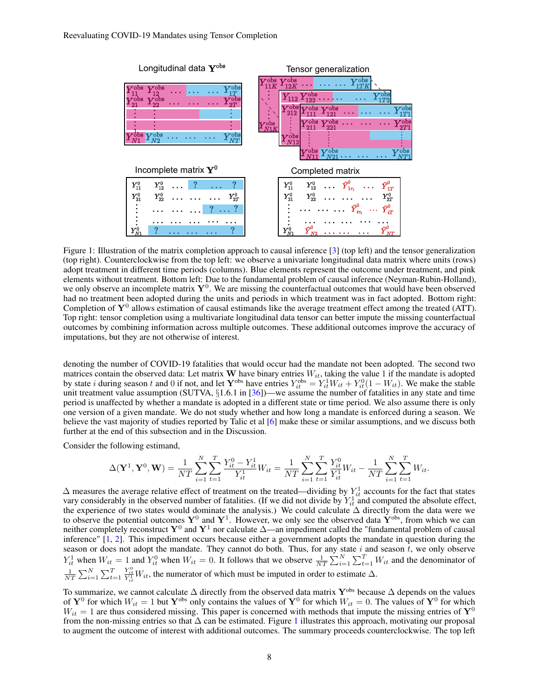<span id="page-7-0"></span>

Figure 1: Illustration of the matrix completion approach to causal inference [\[3\]](#page-21-2) (top left) and the tensor generalization (top right). Counterclockwise from the top left: we observe a univariate longitudinal data matrix where units (rows) adopt treatment in different time periods (columns). Blue elements represent the outcome under treatment, and pink elements without treatment. Bottom left: Due to the fundamental problem of causal inference (Neyman-Rubin-Holland), we only observe an incomplete matrix  $Y^0$ . We are missing the counterfactual outcomes that would have been observed had no treatment been adopted during the units and periods in which treatment was in fact adopted. Bottom right: Completion of  $Y^0$  allows estimation of causal estimands like the average treatment effect among the treated (ATT). Top right: tensor completion using a multivariate longitudinal data tensor can better impute the missing counterfactual outcomes by combining information across multiple outcomes. These additional outcomes improve the accuracy of imputations, but they are not otherwise of interest.

denoting the number of COVID-19 fatalities that would occur had the mandate not been adopted. The second two matrices contain the observed data: Let matrix W have binary entries  $W_{it}$ , taking the value 1 if the mandate is adopted by state *i* during season *t* and 0 if not, and let  $Y^{\text{obs}}$  have entries  $Y^{\text{obs}}_{it} = Y^1_{it} W_{it} + Y^0_{it} (1 - W_{it})$ . We make the stable unit treatment value assumption (SUTVA, §1.6.1 in [\[36\]](#page-22-16))—we assume the number of fatalities in any state and time period is unaffected by whether a mandate is adopted in a different state or time period. We also assume there is only one version of a given mandate. We do not study whether and how long a mandate is enforced during a season. We believe the vast majority of studies reported by Talic et al [\[6\]](#page-21-5) make these or similar assumptions, and we discuss both further at the end of this subsection and in the Discussion.

Consider the following estimand,

$$
\Delta(\mathbf{Y}^1, \mathbf{Y}^0, \mathbf{W}) = \frac{1}{NT} \sum_{i=1}^N \sum_{t=1}^T \frac{Y_{it}^0 - Y_{it}^1}{Y_{it}^1} W_{it} = \frac{1}{NT} \sum_{i=1}^N \sum_{t=1}^T \frac{Y_{it}^0}{Y_{it}^1} W_{it} - \frac{1}{NT} \sum_{i=1}^N \sum_{t=1}^T W_{it}.
$$

 $\Delta$  measures the average relative effect of treatment on the treated—dividing by  $Y_{it}^1$  accounts for the fact that states vary considerably in the observed number of fatalities. (If we did not divide by  $Y_{it}^1$  and computed the absolute effect, the experience of two states would dominate the analysis.) We could calculate ∆ directly from the data were we to observe the potential outcomes  $Y^0$  and  $Y^1$ . However, we only see the observed data  $\dot{Y}^{obs}$ , from which we can neither completely reconstruct  $Y^0$  and  $Y^1$  nor calculate  $\Delta$ —an impediment called the "fundamental problem of causal inference" [\[1,](#page-21-0) [2\]](#page-21-1). This impediment occurs because either a government adopts the mandate in question during the season or does not adopt the mandate. They cannot do both. Thus, for any state  $i$  and season  $t$ , we only observe  $Y_{it}^1$  when  $W_{it} = 1$  and  $Y_{it}^0$  when  $W_{it} = 0$ . It follows that we observe  $\frac{1}{NT} \sum_{i=1}^{N} \sum_{i=1}^{T} W_{it}$  and the denominator of  $\frac{1}{NT}$   $\sum_{i=1}^{N}$   $\sum_{t=1}^{T}$  $\frac{Y_{it}^0}{Y_{it}^1}W_{it}$ , the numerator of which must be imputed in order to estimate  $\Delta$ .

To summarize, we cannot calculate  $\Delta$  directly from the observed data matrix Y<sup>obs</sup> because  $\Delta$  depends on the values of  $Y^0$  for which  $W_{it} = 1$  but  $Y^{obs}$  only contains the values of  $Y^0$  for which  $W_{it} = 0$ . The values of  $Y^0$  for which  $W_{it} = 1$  are thus considered missing. This paper is concerned with methods that impute the missing entries of  $\mathbf{Y}^0$ from the non-missing entries so that  $\Delta$  can be estimated. Figure [1](#page-7-0) illustrates this approach, motivating our proposal to augment the outcome of interest with additional outcomes. The summary proceeds counterclockwise. The top left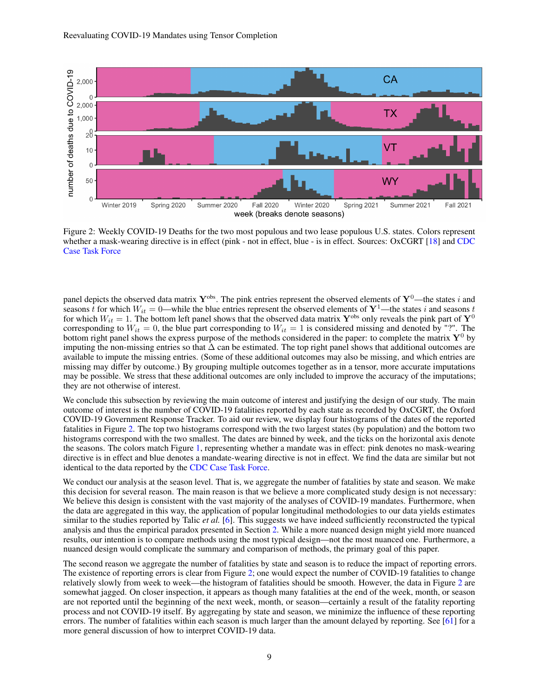<span id="page-8-0"></span>

Figure 2: Weekly COVID-19 Deaths for the two most populous and two lease populous U.S. states. Colors represent whether a mask-wearing directive is in effect (pink - not in effect, blue - is in effect. Sources: OxCGRT [\[18\]](#page-21-17) and [CDC]( https://www.cdc.gov/coronavirus/2019-ncov/cases-updates/cases-in-us.html) [Case Task Force]( https://www.cdc.gov/coronavirus/2019-ncov/cases-updates/cases-in-us.html)

panel depicts the observed data matrix  $\mathbf{Y}^{obs}$ . The pink entries represent the observed elements of  $\mathbf{Y}^0$ —the states i and seasons t for which  $W_{it} = 0$ —while the blue entries represent the observed elements of  $Y^1$ —the states i and seasons t for which  $W_{it} = 1$ . The bottom left panel shows that the observed data matrix  $\mathbf{Y}^{obs}$  only reveals the pink part of  $\mathbf{Y}^0$ corresponding to  $W_{it} = 0$ , the blue part corresponding to  $W_{it} = 1$  is considered missing and denoted by "?". The bottom right panel shows the express purpose of the methods considered in the paper: to complete the matrix  $Y^0$  by imputing the non-missing entries so that  $\Delta$  can be estimated. The top right panel shows that additional outcomes are available to impute the missing entries. (Some of these additional outcomes may also be missing, and which entries are missing may differ by outcome.) By grouping multiple outcomes together as in a tensor, more accurate imputations may be possible. We stress that these additional outcomes are only included to improve the accuracy of the imputations; they are not otherwise of interest.

We conclude this subsection by reviewing the main outcome of interest and justifying the design of our study. The main outcome of interest is the number of COVID-19 fatalities reported by each state as recorded by OxCGRT, the Oxford COVID-19 Government Response Tracker. To aid our review, we display four histograms of the dates of the reported fatalities in Figure [2.](#page-8-0) The top two histograms correspond with the two largest states (by population) and the bottom two histograms correspond with the two smallest. The dates are binned by week, and the ticks on the horizontal axis denote the seasons. The colors match Figure [1,](#page-7-0) representing whether a mandate was in effect: pink denotes no mask-wearing directive is in effect and blue denotes a mandate-wearing directive is not in effect. We find the data are similar but not identical to the data reported by the [CDC Case Task Force.]( https://www.cdc.gov/coronavirus/2019-ncov/cases-updates/cases-in-us.html)

We conduct our analysis at the season level. That is, we aggregate the number of fatalities by state and season. We make this decision for several reason. The main reason is that we believe a more complicated study design is not necessary: We believe this design is consistent with the vast majority of the analyses of COVID-19 mandates. Furthermore, when the data are aggregated in this way, the application of popular longitudinal methodologies to our data yields estimates similar to the studies reported by Talic *et al.* [\[6\]](#page-21-5). This suggests we have indeed sufficiently reconstructed the typical analysis and thus the empirical paradox presented in Section [2.](#page-1-0) While a more nuanced design might yield more nuanced results, our intention is to compare methods using the most typical design—not the most nuanced one. Furthermore, a nuanced design would complicate the summary and comparison of methods, the primary goal of this paper.

The second reason we aggregate the number of fatalities by state and season is to reduce the impact of reporting errors. The existence of reporting errors is clear from Figure [2;](#page-8-0) one would expect the number of COVID-19 fatalities to change relatively slowly from week to week—the histogram of fatalities should be smooth. However, the data in Figure [2](#page-8-0) are somewhat jagged. On closer inspection, it appears as though many fatalities at the end of the week, month, or season are not reported until the beginning of the next week, month, or season—certainly a result of the fatality reporting process and not COVID-19 itself. By aggregating by state and season, we minimize the influence of these reporting errors. The number of fatalities within each season is much larger than the amount delayed by reporting. See [\[61\]](#page-23-15) for a more general discussion of how to interpret COVID-19 data.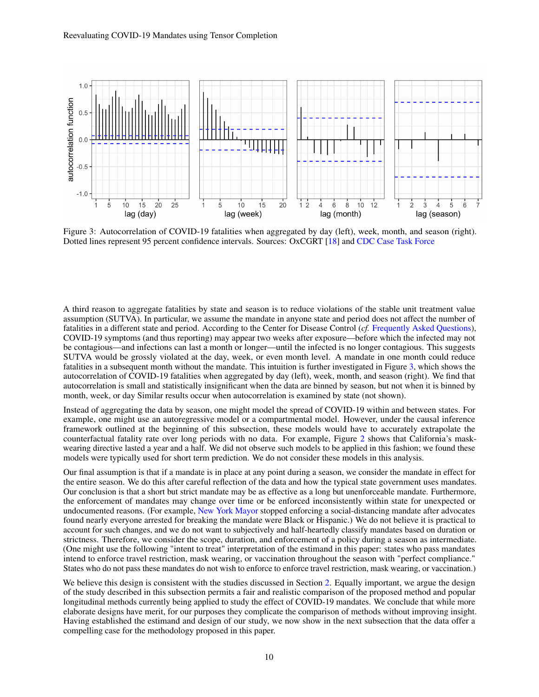<span id="page-9-0"></span>

Figure 3: Autocorrelation of COVID-19 fatalities when aggregated by day (left), week, month, and season (right). Dotted lines represent 95 percent confidence intervals. Sources: OxCGRT [\[18\]](#page-21-17) and [CDC Case Task Force]( https://www.cdc.gov/coronavirus/2019-ncov/cases-updates/cases-in-us.html)

A third reason to aggregate fatalities by state and season is to reduce violations of the stable unit treatment value assumption (SUTVA). In particular, we assume the mandate in anyone state and period does not affect the number of fatalities in a different state and period. According to the Center for Disease Control (*cf.* [Frequently Asked Questions\)](https://www.cdc.gov/coronavirus/2019-ncov/faq.html), COVID-19 symptoms (and thus reporting) may appear two weeks after exposure—before which the infected may not be contagious—and infections can last a month or longer—until the infected is no longer contagious. This suggests SUTVA would be grossly violated at the day, week, or even month level. A mandate in one month could reduce fatalities in a subsequent month without the mandate. This intuition is further investigated in Figure [3,](#page-9-0) which shows the autocorrelation of COVID-19 fatalities when aggregated by day (left), week, month, and season (right). We find that autocorrelation is small and statistically insignificant when the data are binned by season, but not when it is binned by month, week, or day Similar results occur when autocorrelation is examined by state (not shown).

Instead of aggregating the data by season, one might model the spread of COVID-19 within and between states. For example, one might use an autoregressive model or a compartmental model. However, under the causal inference framework outlined at the beginning of this subsection, these models would have to accurately extrapolate the counterfactual fatality rate over long periods with no data. For example, Figure [2](#page-8-0) shows that California's maskwearing directive lasted a year and a half. We did not observe such models to be applied in this fashion; we found these models were typically used for short term prediction. We do not consider these models in this analysis.

Our final assumption is that if a mandate is in place at any point during a season, we consider the mandate in effect for the entire season. We do this after careful reflection of the data and how the typical state government uses mandates. Our conclusion is that a short but strict mandate may be as effective as a long but unenforceable mandate. Furthermore, the enforcement of mandates may change over time or be enforced inconsistently within state for unexpected or undocumented reasons. (For example, [New York Mayor](https://www.npr.org/2020/05/15/857144397/police-back-off-from-social-distancing-enforcement ) stopped enforcing a social-distancing mandate after advocates found nearly everyone arrested for breaking the mandate were Black or Hispanic.) We do not believe it is practical to account for such changes, and we do not want to subjectively and half-heartedly classify mandates based on duration or strictness. Therefore, we consider the scope, duration, and enforcement of a policy during a season as intermediate. (One might use the following "intent to treat" interpretation of the estimand in this paper: states who pass mandates intend to enforce travel restriction, mask wearing, or vaccination throughout the season with "perfect compliance." States who do not pass these mandates do not wish to enforce to enforce travel restriction, mask wearing, or vaccination.)

We believe this design is consistent with the studies discussed in Section [2.](#page-1-0) Equally important, we argue the design of the study described in this subsection permits a fair and realistic comparison of the proposed method and popular longitudinal methods currently being applied to study the effect of COVID-19 mandates. We conclude that while more elaborate designs have merit, for our purposes they complicate the comparison of methods without improving insight. Having established the estimand and design of our study, we now show in the next subsection that the data offer a compelling case for the methodology proposed in this paper.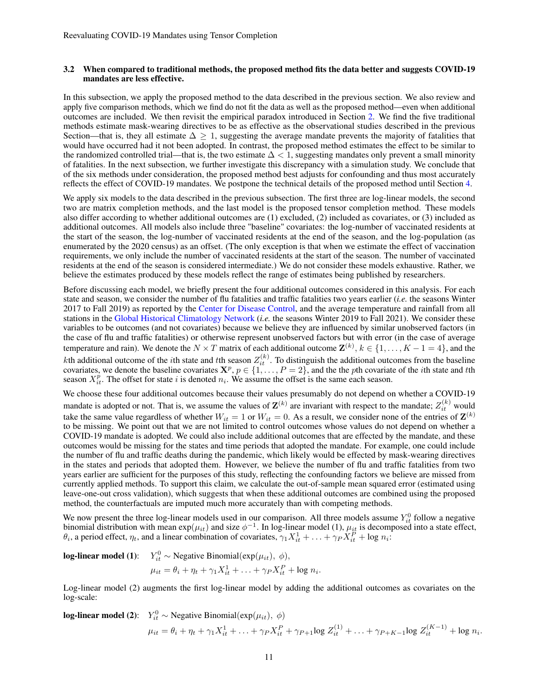## 3.2 When compared to traditional methods, the proposed method fits the data better and suggests COVID-19 mandates are less effective.

In this subsection, we apply the proposed method to the data described in the previous section. We also review and apply five comparison methods, which we find do not fit the data as well as the proposed method—even when additional outcomes are included. We then revisit the empirical paradox introduced in Section [2.](#page-1-0) We find the five traditional methods estimate mask-wearing directives to be as effective as the observational studies described in the previous Section—that is, they all estimate  $\Delta \geq 1$ , suggesting the average mandate prevents the majority of fatalities that would have occurred had it not been adopted. In contrast, the proposed method estimates the effect to be similar to the randomized controlled trial—that is, the two estimate  $\Delta$  < 1, suggesting mandates only prevent a small minority of fatalities. In the next subsection, we further investigate this discrepancy with a simulation study. We conclude that of the six methods under consideration, the proposed method best adjusts for confounding and thus most accurately reflects the effect of COVID-19 mandates. We postpone the technical details of the proposed method until Section [4.](#page-15-0)

We apply six models to the data described in the previous subsection. The first three are log-linear models, the second two are matrix completion methods, and the last model is the proposed tensor completion method. These models also differ according to whether additional outcomes are (1) excluded, (2) included as covariates, or (3) included as additional outcomes. All models also include three "baseline" covariates: the log-number of vaccinated residents at the start of the season, the log-number of vaccinated residents at the end of the season, and the log-population (as enumerated by the 2020 census) as an offset. (The only exception is that when we estimate the effect of vaccination requirements, we only include the number of vaccinated residents at the start of the season. The number of vaccinated residents at the end of the season is considered intermediate.) We do not consider these models exhaustive. Rather, we believe the estimates produced by these models reflect the range of estimates being published by researchers.

Before discussing each model, we briefly present the four additional outcomes considered in this analysis. For each state and season, we consider the number of flu fatalities and traffic fatalities two years earlier (*i.e.* the seasons Winter 2017 to Fall 2019) as reported by the [Center for Disease Control,](https://wonder.cdc.gov/Deaths-by-Underlying-Cause.html) and the average temperature and rainfall from all stations in the [Global Historical Climatology Network](https://www.ncei.noaa.gov/products/land-based-station/global-historical-climatology-network-daily) (*i.e.* the seasons Winter 2019 to Fall 2021). We consider these variables to be outcomes (and not covariates) because we believe they are influenced by similar unobserved factors (in the case of flu and traffic fatalities) or otherwise represent unobserved factors but with error (in the case of average temperature and rain). We denote the  $N \times T$  matrix of each additional outcome  $\mathbf{Z}^{(k)}$ ,  $k \in \{1, \ldots, K-1=4\}$ , and the kth additional outcome of the *i*th state and *t*th season  $Z_{it}^{(k)}$ . To distinguish the additional outcomes from the baseline covariates, we denote the baseline covariates  $X^p$ ,  $p \in \{1, \ldots, P = 2\}$ , and the the pth covariate of the *i*th state and *t*th season  $X_{it}^p$ . The offset for state i is denoted  $n_i$ . We assume the offset is the same each season.

We choose these four additional outcomes because their values presumably do not depend on whether a COVID-19 mandate is adopted or not. That is, we assume the values of  $\mathbf{Z}^{(k)}$  are invariant with respect to the mandate;  $Z_{it}^{(k)}$  would take the same value regardless of whether  $W_{it} = 1$  or  $W_{it} = 0$ . As a result, we consider none of the entries of  $\mathbf{Z}^{(k)}$ to be missing. We point out that we are not limited to control outcomes whose values do not depend on whether a COVID-19 mandate is adopted. We could also include additional outcomes that are effected by the mandate, and these outcomes would be missing for the states and time periods that adopted the mandate. For example, one could include the number of flu and traffic deaths during the pandemic, which likely would be effected by mask-wearing directives in the states and periods that adopted them. However, we believe the number of flu and traffic fatalities from two years earlier are sufficient for the purposes of this study, reflecting the confounding factors we believe are missed from currently applied methods. To support this claim, we calculate the out-of-sample mean squared error (estimated using leave-one-out cross validation), which suggests that when these additional outcomes are combined using the proposed method, the counterfactuals are imputed much more accurately than with competing methods.

We now present the three log-linear models used in our comparison. All three models assume  $Y_{it}^0$  follow a negative binomial distribution with mean  $exp(\mu_{it})$  and size  $\phi^{-1}$ . In log-linear model (1),  $\mu_{it}$  is decomposed into a state effect,  $\theta_i$ , a period effect,  $\eta_t$ , and a linear combination of covariates,  $\gamma_1 X_{it}^1 + \ldots + \gamma_P X_{it}^P + \log n_i$ .

**log-linear model (1):** 
$$
Y_{it}^0 \sim \text{Negative Binomial}(\exp(\mu_{it}), \phi),
$$
  
 $\mu_{it} = \theta_i + \eta_t + \gamma_1 X_{it}^1 + \ldots + \gamma_P X_{it}^P + \log n_i.$ 

Log-linear model (2) augments the first log-linear model by adding the additional outcomes as covariates on the log-scale:

**log-linear model (2):** 
$$
Y_{it}^0 \sim \text{Negative Binomial}(\exp(\mu_{it}), \phi)
$$
  
\n
$$
\mu_{it} = \theta_i + \eta_t + \gamma_1 X_{it}^1 + \ldots + \gamma_P X_{it}^P + \gamma_{P+1} \log Z_{it}^{(1)} + \ldots + \gamma_{P+K-1} \log Z_{it}^{(K-1)} + \log n_i.
$$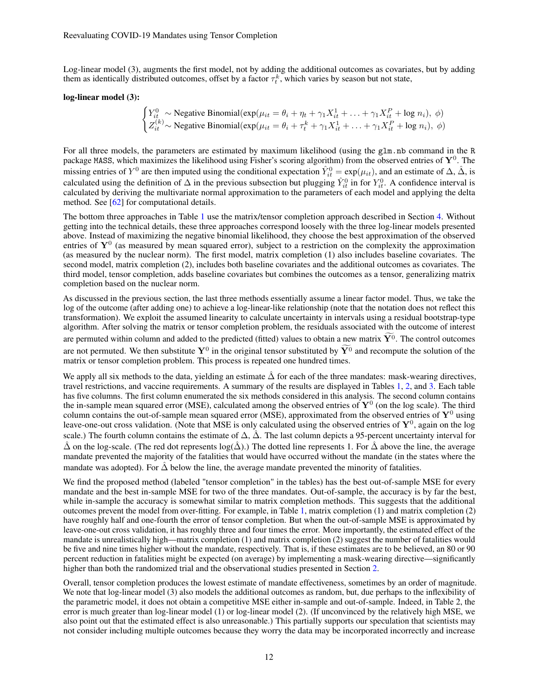Log-linear model (3), augments the first model, not by adding the additional outcomes as covariates, but by adding them as identically distributed outcomes, offset by a factor  $\tau_t^k$ , which varies by season but not state,

#### log-linear model (3):

$$
\begin{cases}\nY_{it}^0 \sim \text{Negative Binomial}(\exp(\mu_{it} = \theta_i + \eta_t + \gamma_1 X_{it}^1 + \dots + \gamma_1 X_{it}^P + \log n_i), \phi) \\
Z_{it}^{(k)} \sim \text{Negative Binomial}(\exp(\mu_{it} = \theta_i + \tau_t^k + \gamma_1 X_{it}^1 + \dots + \gamma_1 X_{it}^P + \log n_i), \phi)\n\end{cases}
$$

For all three models, the parameters are estimated by maximum likelihood (using the glm.nb command in the R package MASS, which maximizes the likelihood using Fisher's scoring algorithm) from the observed entries of  $Y^0$ . The missing entries of  $Y^0$  are then imputed using the conditional expectation  $\hat{Y}^0_{it} = \exp(\mu_{it})$ , and an estimate of  $\Delta$ ,  $\hat{\Delta}$ , is calculated using the definition of  $\Delta$  in the previous subsection but plugging  $\hat{Y}_{it}^0$  in for  $Y_{it}^0$ . A confidence interval is calculated by deriving the multivariate normal approximation to the parameters of each model and applying the delta method. See [\[62\]](#page-23-16) for computational details.

The bottom three approaches in Table [1](#page-12-0) use the matrix/tensor completion approach described in Section [4.](#page-15-0) Without getting into the technical details, these three approaches correspond loosely with the three log-linear models presented above. Instead of maximizing the negative binomial likelihood, they choose the best approximation of the observed entries of  $Y^0$  (as measured by mean squared error), subject to a restriction on the complexity the approximation (as measured by the nuclear norm). The first model, matrix completion (1) also includes baseline covariates. The second model, matrix completion (2), includes both baseline covariates and the additional outcomes as covariates. The third model, tensor completion, adds baseline covariates but combines the outcomes as a tensor, generalizing matrix completion based on the nuclear norm.

As discussed in the previous section, the last three methods essentially assume a linear factor model. Thus, we take the log of the outcome (after adding one) to achieve a log-linear-like relationship (note that the notation does not reflect this transformation). We exploit the assumed linearity to calculate uncertainty in intervals using a residual bootstrap-type algorithm. After solving the matrix or tensor completion problem, the residuals associated with the outcome of interest are permuted within column and added to the predicted (fitted) values to obtain a new matrix  $\widetilde{\mathbf{Y}^0}$ . The control outcomes are not permuted. We then substitute  $\mathbf{Y}^0$  in the original tensor substituted by  $\mathbf{Y}^0$  and recompute the solution of the matrix or tensor completion problem. This process is repeated one hundred times.

We apply all six methods to the data, yielding an estimate  $\hat{\Delta}$  for each of the three mandates: mask-wearing directives, travel restrictions, and vaccine requirements. A summary of the results are displayed in Tables [1,](#page-12-0) [2,](#page-12-1) and [3.](#page-12-2) Each table has five columns. The first column enumerated the six methods considered in this analysis. The second column contains the in-sample mean squared error (MSE), calculated among the observed entries of  $Y^0$  (on the log scale). The third column contains the out-of-sample mean squared error (MSE), approximated from the observed entries of  $Y^0$  using leave-one-out cross validation. (Note that MSE is only calculated using the observed entries of  $Y^0$ , again on the log scale.) The fourth column contains the estimate of  $\Delta$ ,  $\tilde{\Delta}$ . The last column depicts a 95-percent uncertainty interval for  $\hat{\Delta}$  on the log-scale. (The red dot represents log( $\hat{\Delta}$ ).) The dotted line represents 1. For  $\hat{\Delta}$  above the line, the average mandate prevented the majority of the fatalities that would have occurred without the mandate (in the states where the mandate was adopted). For  $\Delta$  below the line, the average mandate prevented the minority of fatalities.

We find the proposed method (labeled "tensor completion" in the tables) has the best out-of-sample MSE for every mandate and the best in-sample MSE for two of the three mandates. Out-of-sample, the accuracy is by far the best, while in-sample the accuracy is somewhat similar to matrix completion methods. This suggests that the additional outcomes prevent the model from over-fitting. For example, in Table [1,](#page-12-0) matrix completion (1) and matrix completion (2) have roughly half and one-fourth the error of tensor completion. But when the out-of-sample MSE is approximated by leave-one-out cross validation, it has roughly three and four times the error. More importantly, the estimated effect of the mandate is unrealistically high—matrix completion (1) and matrix completion (2) suggest the number of fatalities would be five and nine times higher without the mandate, respectively. That is, if these estimates are to be believed, an 80 or 90 percent reduction in fatalities might be expected (on average) by implementing a mask-wearing directive—significantly higher than both the randomized trial and the observational studies presented in Section [2.](#page-1-0)

Overall, tensor completion produces the lowest estimate of mandate effectiveness, sometimes by an order of magnitude. We note that log-linear model (3) also models the additional outcomes as random, but, due perhaps to the inflexibility of the parametric model, it does not obtain a competitive MSE either in-sample and out-of-sample. Indeed, in Table 2, the error is much greater than log-linear model (1) or log-linear model (2). (If unconvinced by the relatively high MSE, we also point out that the estimated effect is also unreasonable.) This partially supports our speculation that scientists may not consider including multiple outcomes because they worry the data may be incorporated incorrectly and increase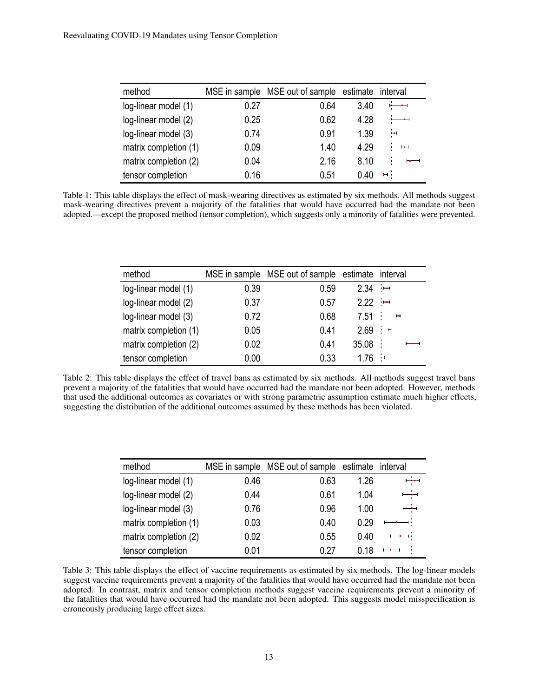<span id="page-12-0"></span>

| method                |      | MSE in sample MSE out of sample estimate interval |      |                  |
|-----------------------|------|---------------------------------------------------|------|------------------|
| log-linear model (1)  | 0.27 | 0.64                                              | 3.40 |                  |
| log-linear model (2)  | 0.25 | 0.62                                              | 4.28 |                  |
| log-linear model (3)  | 0.74 | 0.91                                              | 1.39 | HН               |
| matrix completion (1) | 0.09 | 1.40                                              | 4.29 | H                |
| matrix completion (2) | 0.04 | 2.16                                              | 8.10 | $-$<br>$\bullet$ |
| tensor completion     | 0.16 | 0.51                                              | ი 40 | ы.               |

Table 1: This table displays the effect of mask-wearing directives as estimated by six methods. All methods suggest mask-wearing directives prevent a majority of the fatalities that would have occurred had the mandate not been adopted.—except the proposed method (tensor completion), which suggests only a minority of fatalities were prevented.

<span id="page-12-1"></span>

| method                |          | MSE in sample MSE out of sample estimate interval |       |                                 |
|-----------------------|----------|---------------------------------------------------|-------|---------------------------------|
| log-linear model (1)  | 0.39     | 0.59                                              | 2.34  | $\sim$ 1004                     |
| log-linear model (2)  | 0.37     | 0.57                                              | 2.22  | $\sim$ 1–1                      |
| log-linear model (3)  | 0.72     | 0.68                                              | 7.51  | $\frac{1}{2}$<br>$\blacksquare$ |
| matrix completion (1) | 0.05     | 0.41                                              | 2.69  | $\sim$ 10                       |
| matrix completion (2) | 0.02     | 0.41                                              | 35.08 | $\mathbf{r}$                    |
| tensor completion     | $0.00\,$ | 0.33                                              | 1.76  | $\mathcal{A}$                   |

Table 2: This table displays the effect of travel bans as estimated by six methods. All methods suggest travel bans prevent a majority of the fatalities that would have occurred had the mandate not been adopted. However, methods that used the additional outcomes as covariates or with strong parametric assumption estimate much higher effects, suggesting the distribution of the additional outcomes assumed by these methods has been violated.

<span id="page-12-2"></span>

| method                |      | MSE in sample MSE out of sample estimate interval |      |                |
|-----------------------|------|---------------------------------------------------|------|----------------|
| log-linear model (1)  | 0.46 | 0.63                                              | 1 26 | $\frac{1}{2}$  |
| log-linear model (2)  | 0.44 | 0.61                                              | 1.04 |                |
| log-linear model (3)  | 0.76 | 0.96                                              | 1.00 | –−             |
| matrix completion (1) | 0.03 | 0.40                                              | 0.29 |                |
| matrix completion (2) | 0.02 | 0.55                                              | 0.40 |                |
| tensor completion     | 0.01 | ი 27                                              | በ 18 | $\blacksquare$ |

Table 3: This table displays the effect of vaccine requirements as estimated by six methods. The log-linear models suggest vaccine requirements prevent a majority of the fatalities that would have occurred had the mandate not been adopted. In contrast, matrix and tensor completion methods suggest vaccine requirements prevent a minority of the fatalities that would have occurred had the mandate not been adopted. This suggests model misspecification is erroneously producing large effect sizes.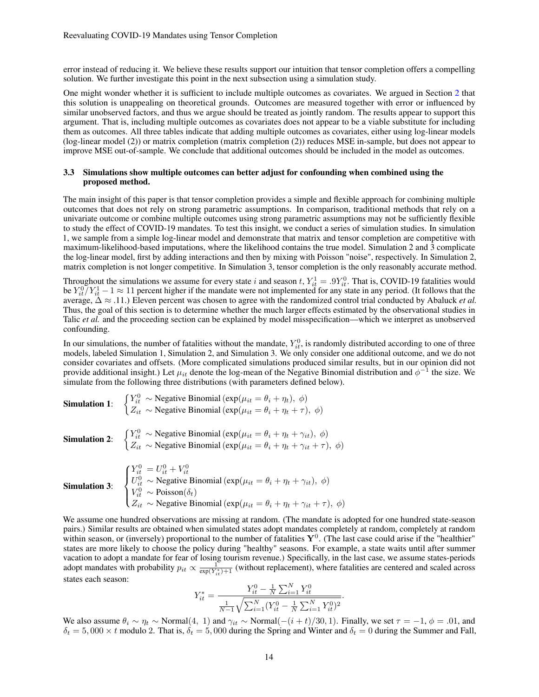error instead of reducing it. We believe these results support our intuition that tensor completion offers a compelling solution. We further investigate this point in the next subsection using a simulation study.

One might wonder whether it is sufficient to include multiple outcomes as covariates. We argued in Section [2](#page-1-0) that this solution is unappealing on theoretical grounds. Outcomes are measured together with error or influenced by similar unobserved factors, and thus we argue should be treated as jointly random. The results appear to support this argument. That is, including multiple outcomes as covariates does not appear to be a viable substitute for including them as outcomes. All three tables indicate that adding multiple outcomes as covariates, either using log-linear models (log-linear model (2)) or matrix completion (matrix completion (2)) reduces MSE in-sample, but does not appear to improve MSE out-of-sample. We conclude that additional outcomes should be included in the model as outcomes.

## 3.3 Simulations show multiple outcomes can better adjust for confounding when combined using the proposed method.

The main insight of this paper is that tensor completion provides a simple and flexible approach for combining multiple outcomes that does not rely on strong parametric assumptions. In comparison, traditional methods that rely on a univariate outcome or combine multiple outcomes using strong parametric assumptions may not be sufficiently flexible to study the effect of COVID-19 mandates. To test this insight, we conduct a series of simulation studies. In simulation 1, we sample from a simple log-linear model and demonstrate that matrix and tensor completion are competitive with maximum-likelihood-based imputations, where the likelihood contains the true model. Simulation 2 and 3 complicate the log-linear model, first by adding interactions and then by mixing with Poisson "noise", respectively. In Simulation 2, matrix completion is not longer competitive. In Simulation 3, tensor completion is the only reasonably accurate method.

Throughout the simulations we assume for every state i and season t,  $Y_{it}^1 = .9Y_{it}^0$ . That is, COVID-19 fatalities would be  $Y_{it}^{0}/Y_{it}^{1}-1 \approx 11$  percent higher if the mandate were not implemented for any state in any period. (It follows that the average, ∆ ≈ .11.) Eleven percent was chosen to agree with the randomized control trial conducted by Abaluck *et al.* Thus, the goal of this section is to determine whether the much larger effects estimated by the observational studies in Talic *et al.* and the proceeding section can be explained by model misspecification—which we interpret as unobserved confounding.

In our simulations, the number of fatalities without the mandate,  $Y_{it}^0$ , is randomly distributed according to one of three models, labeled Simulation 1, Simulation 2, and Simulation 3. We only consider one additional outcome, and we do not consider covariates and offsets. (More complicated simulations produced similar results, but in our opinion did not provide additional insight.) Let  $\mu_{it}$  denote the log-mean of the Negative Binomial distribution and  $\phi^{-1}$  the size. We simulate from the following three distributions (with parameters defined below).

**Simulation 1:**  $\begin{cases} Y_{it}^0 \sim \text{Negative Binomial}(\exp(\mu_{it} = \theta_i + \eta_t), \phi) \\ Z_{it}^0 \sim \text{Nosech}(Z_{it}^0, \phi_t) \end{cases}$  $Z_{it} \sim$  Negative Binomial (exp( $\mu_{it} = \theta_i + \eta_t + \tau$ ),  $\phi$ ) **Simulation 2:**  $\begin{cases} Y_{it}^0 \sim \text{Negative Binomial}(\exp(\mu_{it} = \theta_i + \eta_t + \gamma_{it}), \phi) \\ Z & \text{N}, \text{noise} \end{cases}$  $Z_{it} \sim$  Negative Binomial (exp( $\mu_{it} = \theta_i + \eta_t + \gamma_{it} + \tau$ ),  $\phi$ ) Simulation 3:  $\sqrt{ }$  $\int$  $\overline{\mathcal{L}}$  $Y_{it}^0 = U_{it}^0 + V_{it}^0$  $U_{it}^0 \sim$  Negative Binomial (exp( $\mu_{it} = \theta_i + \eta_t + \gamma_{it}$ ),  $\phi$ )  $V_{it}^0 \sim \text{Poisson}(\delta_t)$  $Z_{it} \sim$  Negative Binomial (exp( $\mu_{it} = \theta_i + \eta_t + \gamma_{it} + \tau$ ),  $\phi$ )

We assume one hundred observations are missing at random. (The mandate is adopted for one hundred state-season pairs.) Similar results are obtained when simulated states adopt mandates completely at random, completely at random within season, or (inversely) proportional to the number of fatalities  $Y^0$ . (The last case could arise if the "healthier" states are more likely to choose the policy during "healthy" seasons. For example, a state waits until after summer vacation to adopt a mandate for fear of losing tourism revenue.) Specifically, in the last case, we assume states-periods adopt mandates with probability  $p_{it} \propto \frac{1}{\exp(Y_{it}^*)+1}$  (without replacement), where fatalities are centered and scaled across states each season:

$$
Y_{it}^{*} = \frac{Y_{it}^{0} - \frac{1}{N} \sum_{i=1}^{N} Y_{it}^{0}}{\frac{1}{N-1} \sqrt{\sum_{i=1}^{N} (Y_{it}^{0} - \frac{1}{N} \sum_{i=1}^{N} Y_{it}^{0})^{2}}}.
$$

We also assume  $\theta_i \sim \eta_t \sim \text{Normal}(4, 1)$  and  $\gamma_{it} \sim \text{Normal}(-(i+t)/30, 1)$ . Finally, we set  $\tau = -1$ ,  $\phi = .01$ , and  $\delta_t = 5,000 \times t$  modulo 2. That is,  $\delta_t = 5,000$  during the Spring and Winter and  $\delta_t = 0$  during the Summer and Fall,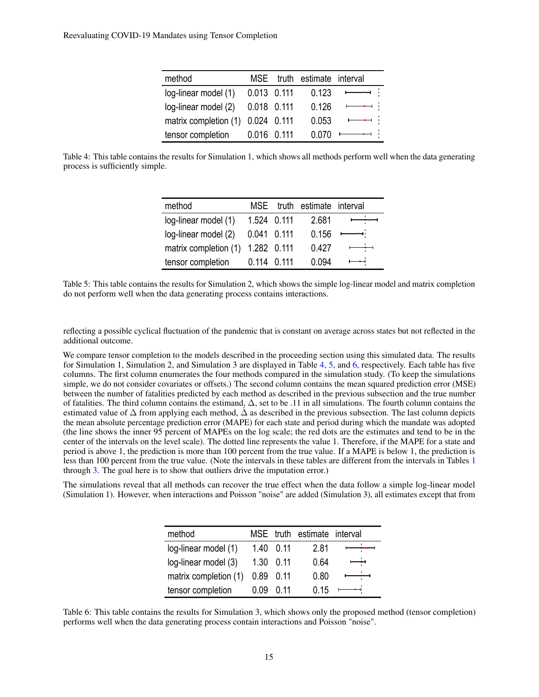| method                            |               | MSE truth estimate interval |                                                                                                                                                                                                                                                                                                                                                                                                                                       |
|-----------------------------------|---------------|-----------------------------|---------------------------------------------------------------------------------------------------------------------------------------------------------------------------------------------------------------------------------------------------------------------------------------------------------------------------------------------------------------------------------------------------------------------------------------|
| log-linear model (1)              | 0.013 0.111   | 0.123                       |                                                                                                                                                                                                                                                                                                                                                                                                                                       |
| log-linear model (2)              | 0.018 0.111   | 0.126                       | $\overline{\phantom{a}}$                                                                                                                                                                                                                                                                                                                                                                                                              |
| matrix completion (1) 0.024 0.111 |               | 0.053                       | أرا ومستمسط                                                                                                                                                                                                                                                                                                                                                                                                                           |
| tensor completion                 | 0.016   0.111 | 0.070                       | $\begin{array}{cccccccccccccc} \textbf{1} & \textbf{1} & \textbf{1} & \textbf{1} & \textbf{1} & \textbf{1} & \textbf{1} & \textbf{1} & \textbf{1} & \textbf{1} & \textbf{1} & \textbf{1} & \textbf{1} & \textbf{1} & \textbf{1} & \textbf{1} & \textbf{1} & \textbf{1} & \textbf{1} & \textbf{1} & \textbf{1} & \textbf{1} & \textbf{1} & \textbf{1} & \textbf{1} & \textbf{1} & \textbf{1} & \textbf{1} & \textbf{1} & \textbf{1} &$ |

<span id="page-14-1"></span><span id="page-14-0"></span>Table 4: This table contains the results for Simulation 1, which shows all methods perform well when the data generating process is sufficiently simple.

| method                |               | MSE truth estimate interval |                          |
|-----------------------|---------------|-----------------------------|--------------------------|
| log-linear model (1)  | 1.524 0.111   | 2.681                       | $\overrightarrow{a}$     |
| log-linear model (2)  | 0.041 0.111   | 0.156                       | $\overline{\phantom{a}}$ |
| matrix completion (1) | 1.282 0.111   | 0.427                       | بنهضت                    |
| tensor completion     | $0.114$ 0.111 | 0.094                       | $\overline{\phantom{0}}$ |

Table 5: This table contains the results for Simulation 2, which shows the simple log-linear model and matrix completion do not perform well when the data generating process contains interactions.

reflecting a possible cyclical fluctuation of the pandemic that is constant on average across states but not reflected in the additional outcome.

We compare tensor completion to the models described in the proceeding section using this simulated data. The results for Simulation 1, Simulation 2, and Simulation 3 are displayed in Table [4,](#page-14-0) [5,](#page-14-1) and [6,](#page-14-2) respectively. Each table has five columns. The first column enumerates the four methods compared in the simulation study. (To keep the simulations simple, we do not consider covariates or offsets.) The second column contains the mean squared prediction error (MSE) between the number of fatalities predicted by each method as described in the previous subsection and the true number of fatalities. The third column contains the estimand, ∆, set to be .11 in all simulations. The fourth column contains the estimated value of  $\Delta$  from applying each method,  $\hat{\Delta}$  as described in the previous subsection. The last column depicts the mean absolute percentage prediction error (MAPE) for each state and period during which the mandate was adopted (the line shows the inner 95 percent of MAPEs on the log scale; the red dots are the estimates and tend to be in the center of the intervals on the level scale). The dotted line represents the value 1. Therefore, if the MAPE for a state and period is above 1, the prediction is more than 100 percent from the true value. If a MAPE is below 1, the prediction is less than 100 percent from the true value. (Note the intervals in these tables are different from the intervals in Tables [1](#page-12-0) through [3.](#page-12-2) The goal here is to show that outliers drive the imputation error.)

<span id="page-14-2"></span>The simulations reveal that all methods can recover the true effect when the data follow a simple log-linear model (Simulation 1). However, when interactions and Poisson "noise" are added (Simulation 3), all estimates except that from

| method                |      |      | MSE truth estimate interval |   |
|-----------------------|------|------|-----------------------------|---|
| log-linear model (1)  | 1.40 | 0.11 | 2.81                        |   |
| log-linear model (3)  | 1.30 | 0.11 | 0.64                        | ╼ |
| matrix completion (1) | 0.89 | 0.11 | 0.80                        |   |
| tensor completion     | 0 Q9 | 0 11 | በ 15                        |   |

Table 6: This table contains the results for Simulation 3, which shows only the proposed method (tensor completion) performs well when the data generating process contain interactions and Poisson "noise".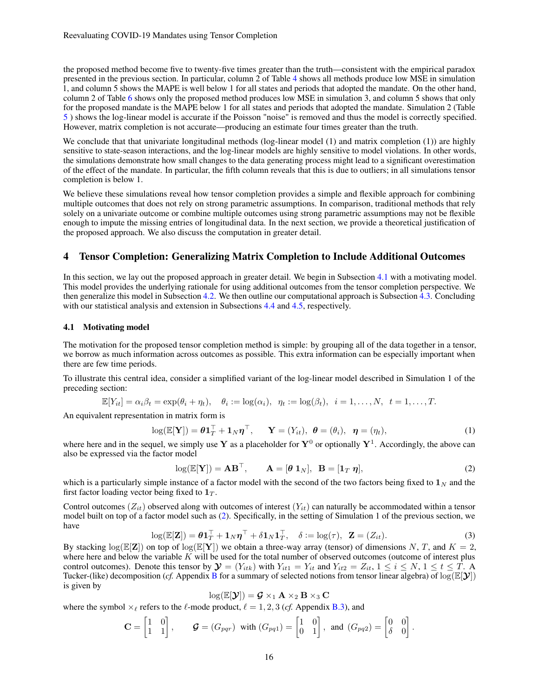the proposed method become five to twenty-five times greater than the truth—consistent with the empirical paradox presented in the previous section. In particular, column 2 of Table [4](#page-14-0) shows all methods produce low MSE in simulation 1, and column 5 shows the MAPE is well below 1 for all states and periods that adopted the mandate. On the other hand, column 2 of Table [6](#page-14-2) shows only the proposed method produces low MSE in simulation 3, and column 5 shows that only for the proposed mandate is the MAPE below 1 for all states and periods that adopted the mandate. Simulation 2 (Table [5](#page-14-1) ) shows the log-linear model is accurate if the Poisson "noise" is removed and thus the model is correctly specified. However, matrix completion is not accurate—producing an estimate four times greater than the truth.

We conclude that that univariate longitudinal methods (log-linear model (1) and matrix completion (1)) are highly sensitive to state-season interactions, and the log-linear models are highly sensitive to model violations. In other words, the simulations demonstrate how small changes to the data generating process might lead to a significant overestimation of the effect of the mandate. In particular, the fifth column reveals that this is due to outliers; in all simulations tensor completion is below 1.

We believe these simulations reveal how tensor completion provides a simple and flexible approach for combining multiple outcomes that does not rely on strong parametric assumptions. In comparison, traditional methods that rely solely on a univariate outcome or combine multiple outcomes using strong parametric assumptions may not be flexible enough to impute the missing entries of longitudinal data. In the next section, we provide a theoretical justification of the proposed approach. We also discuss the computation in greater detail.

# <span id="page-15-0"></span>4 Tensor Completion: Generalizing Matrix Completion to Include Additional Outcomes

In this section, we lay out the proposed approach in greater detail. We begin in Subsection [4.1](#page-15-1) with a motivating model. This model provides the underlying rationale for using additional outcomes from the tensor completion perspective. We then generalize this model in Subsection [4.2.](#page-16-0) We then outline our computational approach is Subsection [4.3.](#page-17-0) Concluding with our statistical analysis and extension in Subsections [4.4](#page-17-1) and [4.5,](#page-19-1) respectively.

#### <span id="page-15-1"></span>4.1 Motivating model

The motivation for the proposed tensor completion method is simple: by grouping all of the data together in a tensor, we borrow as much information across outcomes as possible. This extra information can be especially important when there are few time periods.

To illustrate this central idea, consider a simplified variant of the log-linear model described in Simulation 1 of the preceding section:

$$
\mathbb{E}[Y_{it}] = \alpha_i \beta_t = \exp(\theta_i + \eta_t), \quad \theta_i := \log(\alpha_i), \quad \eta_t := \log(\beta_t), \quad i = 1, \dots, N, \quad t = 1, \dots, T.
$$

An equivalent representation in matrix form is

$$
\log(\mathbb{E}[\mathbf{Y}]) = \boldsymbol{\theta} \mathbf{1}_T^\top + \mathbf{1}_N \boldsymbol{\eta}^\top, \quad \mathbf{Y} = (Y_{it}), \ \boldsymbol{\theta} = (\theta_i), \ \boldsymbol{\eta} = (\eta_t), \tag{1}
$$

where here and in the sequel, we simply use Y as a placeholder for  $Y^0$  or optionally  $Y^1$ . Accordingly, the above can also be expressed via the factor model

<span id="page-15-3"></span><span id="page-15-2"></span>
$$
\log(\mathbb{E}[\mathbf{Y}]) = \mathbf{A}\mathbf{B}^{\top}, \qquad \mathbf{A} = [\boldsymbol{\theta} \ \mathbf{1}_N], \ \mathbf{B} = [\mathbf{1}_T \ \boldsymbol{\eta}], \tag{2}
$$

which is a particularly simple instance of a factor model with the second of the two factors being fixed to  $1<sub>N</sub>$  and the first factor loading vector being fixed to  $1_T$ .

<span id="page-15-4"></span>Control outcomes  $(Z_{it})$  observed along with outcomes of interest  $(Y_{it})$  can naturally be accommodated within a tensor model built on top of a factor model such as [\(2\)](#page-15-2). Specifically, in the setting of Simulation 1 of the previous section, we have

$$
\log(\mathbb{E}[\mathbf{Z}]) = \boldsymbol{\theta} \mathbf{1}_T^\top + \mathbf{1}_N \boldsymbol{\eta}^\top + \delta \mathbf{1}_N \mathbf{1}_T^\top, \quad \delta := \log(\tau), \quad \mathbf{Z} = (Z_{it}).
$$

.

By stacking  $\log(E[\mathbf{Z}])$  on top of  $\log(E[\mathbf{Y}])$  we obtain a three-way array (tensor) of dimensions N, T, and  $K = 2$ , where here and below the variable  $\overline{K}$  will be used for the total number of observed outcomes (outcome of interest plus control outcomes). Denote this tensor by  $\mathbf{\mathcal{Y}} = (Y_{itk})$  with  $Y_{it1} = Y_{it}$  and  $Y_{it2} = Z_{it}$ ,  $1 \le i \le N$ ,  $1 \le t \le T$ . A Tucker-(like) decomposition (*cf.* Appendix [B](#page-1-0) for a summary of selected notions from tensor linear algebra) of  $log(E[Y])$ is given by

$$
\log(\mathbb{E}[\mathcal{Y}]) = \mathcal{G} \times_1 \mathbf{A} \times_2 \mathbf{B} \times_3 \mathbf{C}
$$

where the symbol  $\times_\ell$  refers to the  $\ell$ -mode product,  $\ell = 1, 2, 3$  (*cf.* Appendix [B.3\)](#page-4-0), and

$$
\mathbf{C} = \begin{bmatrix} 1 & 0 \\ 1 & 1 \end{bmatrix}, \quad \mathbf{G} = (G_{pqr}) \text{ with } (G_{pq1}) = \begin{bmatrix} 1 & 0 \\ 0 & 1 \end{bmatrix}, \text{ and } (G_{pq2}) = \begin{bmatrix} 0 & 0 \\ \delta & 0 \end{bmatrix}
$$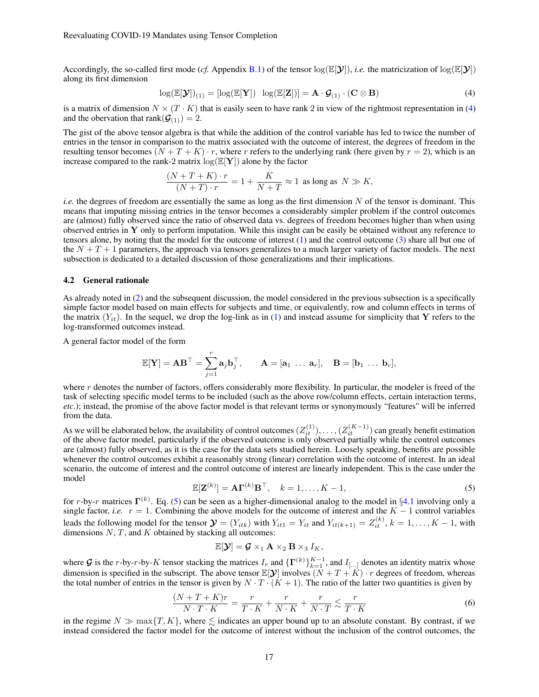Accordingly, the so-called first mode (*cf.* Appendix [B.1\)](#page-1-1) of the tensor  $\log(E[\mathbf{Y}])$ , *i.e.* the matricization of  $\log(E[\mathbf{Y}])$ along its first dimension

<span id="page-16-1"></span>
$$
\log(\mathbb{E}[\mathbf{Y}])_{(1)} = [\log(\mathbb{E}[\mathbf{Y}]) \quad \log(\mathbb{E}[\mathbf{Z}])] = \mathbf{A} \cdot \mathbf{G}_{(1)} \cdot (\mathbf{C} \otimes \mathbf{B}) \tag{4}
$$

is a matrix of dimension  $N \times (T \cdot K)$  that is easily seen to have rank 2 in view of the rightmost representation in [\(4\)](#page-16-1) and the obervation that rank $(\mathcal{G}_{(1)}) = 2$ .

The gist of the above tensor algebra is that while the addition of the control variable has led to twice the number of entries in the tensor in comparison to the matrix associated with the outcome of interest, the degrees of freedom in the resulting tensor becomes  $(N + T + K) \cdot r$ , where r refers to the underlying rank (here given by  $r = 2$ ), which is an increase compared to the rank-2 matrix  $log(E[Y])$  alone by the factor

$$
\frac{(N+T+K)\cdot r}{(N+T)\cdot r}=1+\frac{K}{N+T}\approx 1\ \ \text{as long as}\ \ N\gg K,
$$

*i.e.* the degrees of freedom are essentially the same as long as the first dimension N of the tensor is dominant. This means that imputing missing entries in the tensor becomes a considerably simpler problem if the control outcomes are (almost) fully observed since the ratio of observed data vs. degrees of freedom becomes higher than when using observed entries in Y only to perform imputation. While this insight can be easily be obtained without any reference to tensors alone, by noting that the model for the outcome of interest [\(1\)](#page-15-3) and the control outcome [\(3\)](#page-15-4) share all but one of the  $N + T + 1$  parameters, the approach via tensors generalizes to a much larger variety of factor models. The next subsection is dedicated to a detailed discussion of those generalizations and their implications.

#### <span id="page-16-0"></span>4.2 General rationale

As already noted in [\(2\)](#page-15-2) and the subsequent discussion, the model considered in the previous subsection is a specifically simple factor model based on main effects for subjects and time, or equivalently, row and column effects in terms of the matrix  $(Y_{it})$ . In the sequel, we drop the log-link as in [\(1\)](#page-15-3) and instead assume for simplicity that Y refers to the log-transformed outcomes instead.

A general factor model of the form

$$
\mathbb{E}[\mathbf{Y}] = \mathbf{A}\mathbf{B}^{\top} = \sum_{j=1}^{r} \mathbf{a}_{j} \mathbf{b}_{j}^{\top}, \qquad \mathbf{A} = [\mathbf{a}_{1} \ \dots \ \mathbf{a}_{r}], \quad \mathbf{B} = [\mathbf{b}_{1} \ \dots \ \mathbf{b}_{r}],
$$

where r denotes the number of factors, offers considerably more flexibility. In particular, the modeler is freed of the task of selecting specific model terms to be included (such as the above row/column effects, certain interaction terms, *etc.*); instead, the promise of the above factor model is that relevant terms or synonymously "features" will be inferred from the data.

As we will be elaborated below, the availability of control outcomes  $(Z_{it}^{(1)}), \ldots, (Z_{it}^{(K-1)})$  can greatly benefit estimation of the above factor model, particularly if the observed outcome is only observed partially while the control outcomes are (almost) fully observed, as it is the case for the data sets studied herein. Loosely speaking, benefits are possible whenever the control outcomes exhibit a reasonably strong (linear) correlation with the outcome of interest. In an ideal scenario, the outcome of interest and the control outcome of interest are linearly independent. This is the case under the model

$$
\mathbb{E}[\mathbf{Z}^{(k)}] = \mathbf{A}\mathbf{\Gamma}^{(k)}\mathbf{B}^{\top}, \quad k = 1, \dots, K - 1,\tag{5}
$$

<span id="page-16-2"></span>for r-by-r matrices  $\Gamma^{(k)}$ . Eq. [\(5\)](#page-16-2) can be seen as a higher-dimensional analog to the model in §[4.1](#page-15-1) involving only a single factor, *i.e.*  $r = 1$ . Combining the above models for the outcome of interest and the  $K - 1$  control variables leads the following model for the tensor  $\mathbf{y} = (Y_{itk})$  with  $Y_{it1} = Y_{it}$  and  $Y_{it(k+1)} = Z_{it}^{(k)}$ ,  $k = 1, ..., K - 1$ , with dimensions  $N$ ,  $T$ , and  $K$  obtained by stacking all outcomes:

<span id="page-16-3"></span>
$$
\mathbb{E}[\mathbf{\hat{y}}] = \mathbf{\mathcal{G}} \times_1 \mathbf{A} \times_2 \mathbf{B} \times_3 I_K,
$$

where G is the r-by-r-by-K tensor stacking the matrices  $I_r$  and  $\{\Gamma^{(k)}\}_{k=1}^{K-1}$ , and  $I_{[...]}$  denotes an identity matrix whose dimension is specified in the subscript. The above tensor  $\mathbb{E}[\mathcal{Y}]$  involves  $(N + T + K) \cdot r$  degrees of freedom, whereas the total number of entries in the tensor is given by  $N \cdot T \cdot (K + 1)$ . The ratio of the latter two quantities is given by

$$
\frac{(N+T+K)r}{N\cdot T\cdot K} = \frac{r}{T\cdot K} + \frac{r}{N\cdot K} + \frac{r}{N\cdot T} \lesssim \frac{r}{T\cdot K}
$$
\n(6)

in the regime  $N \gg \max\{T, K\}$ , where  $\lesssim$  indicates an upper bound up to an absolute constant. By contrast, if we instead considered the factor model for the outcome of interest without the inclusion of the control outcomes, the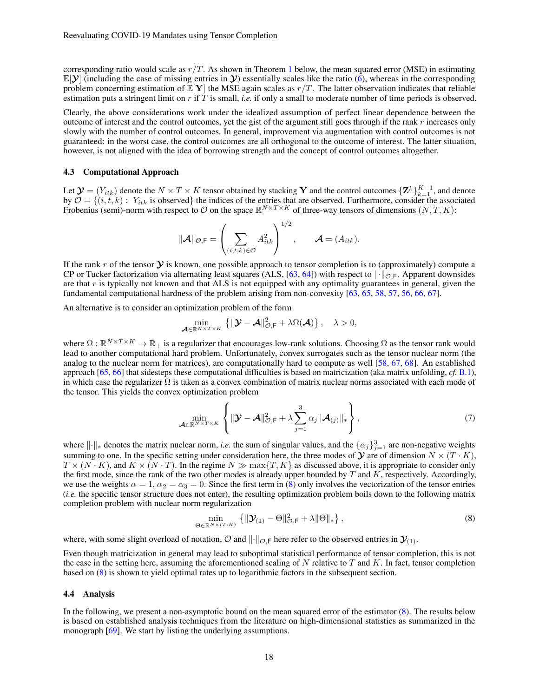corresponding ratio would scale as  $r/T$ . As shown in Theorem [1](#page-18-0) below, the mean squared error (MSE) in estimating  $\mathbb{E}[\mathcal{Y}]$  (including the case of missing entries in  $\mathcal{Y}$ ) essentially scales like the ratio [\(6\)](#page-16-3), whereas in the corresponding problem concerning estimation of  $\mathbb{E}[Y]$  the MSE again scales as  $r/T$ . The latter observation indicates that reliable estimation puts a stringent limit on r if T is small, *i.e.* if only a small to moderate number of time periods is observed.

Clearly, the above considerations work under the idealized assumption of perfect linear dependence between the outcome of interest and the control outcomes, yet the gist of the argument still goes through if the rank  $r$  increases only slowly with the number of control outcomes. In general, improvement via augmentation with control outcomes is not guaranteed: in the worst case, the control outcomes are all orthogonal to the outcome of interest. The latter situation, however, is not aligned with the idea of borrowing strength and the concept of control outcomes altogether.

#### <span id="page-17-0"></span>4.3 Computational Approach

Let  $\mathbf{y} = (Y_{itk})$  denote the  $N \times T \times K$  tensor obtained by stacking Y and the control outcomes  $\{\mathbf{Z}^k\}_{k=1}^{K-1}$ , and denote by  $\mathcal{O} = \{(i, t, k): Y_{itk} \text{ is observed}\}\$ the indices of the entries that are observed. Furthermore, consider the associated Frobenius (semi)-norm with respect to O on the space  $\mathbb{R}^{N\times T\times K}$  of three-way tensors of dimensions  $(N, T, K)$ :

$$
\|\mathbf{A}\|_{\mathcal{O},\mathsf{F}} = \left(\sum_{(i,t,k)\in\mathcal{O}} A_{itk}^2\right)^{1/2}, \qquad \mathbf{A} = (A_{itk}).
$$

If the rank r of the tensor  $\mathcal Y$  is known, one possible approach to tensor completion is to (approximately) compute a CP or Tucker factorization via alternating least squares (ALS, [\[63,](#page-23-17) [64\]](#page-23-18)) with respect to  $\|\cdot\|_{\mathcal{O},F}$ . Apparent downsides are that  $r$  is typically not known and that ALS is not equipped with any optimality guarantees in general, given the fundamental computational hardness of the problem arising from non-convexity [\[63,](#page-23-17) [65,](#page-23-19) [58,](#page-23-12) [57,](#page-23-11) [56,](#page-23-10) [66,](#page-23-20) [67\]](#page-23-21).

An alternative is to consider an optimization problem of the form

$$
\min_{\mathcal{A}\in\mathbb{R}^{N\times T\times K}}\left\{\|\mathcal{Y}-\mathcal{A}\|_{\mathcal{O},\mathsf{F}}^2+\lambda\Omega(\mathcal{A})\right\},\quad\lambda>0,
$$

where  $\Omega : \mathbb{R}^{N \times T \times K} \to \mathbb{R}_+$  is a regularizer that encourages low-rank solutions. Choosing  $\Omega$  as the tensor rank would lead to another computational hard problem. Unfortunately, convex surrogates such as the tensor nuclear norm (the analog to the nuclear norm for matrices), are computationally hard to compute as well [\[58,](#page-23-12) [67,](#page-23-21) [68\]](#page-23-22). An established approach [\[65,](#page-23-19) [66\]](#page-23-20) that sidesteps these computational difficulties is based on matricization (aka matrix unfolding, *cf.* [B.1\)](#page-1-1), in which case the regularizer  $\Omega$  is taken as a convex combination of matrix nuclear norms associated with each mode of the tensor. This yields the convex optimization problem

$$
\min_{\mathcal{A}\in\mathbb{R}^{N\times T\times K}}\left\{\|\mathcal{Y}-\mathcal{A}\|_{\mathcal{O},\mathsf{F}}^2+\lambda\sum_{j=1}^3\alpha_j\|\mathcal{A}_{(j)}\|_{*}\right\},\tag{7}
$$

where  $\|\cdot\|_*$  denotes the matrix nuclear norm, *i.e.* the sum of singular values, and the  $\{\alpha_j\}_{j=1}^3$  are non-negative weights summing to one. In the specific setting under consideration here, the three modes of  $\mathcal Y$  are of dimension  $N \times (T \cdot K)$ ,  $T \times (N \cdot K)$ , and  $K \times (N \cdot T)$ . In the regime  $N \gg \max\{T, K\}$  as discussed above, it is appropriate to consider only the first mode, since the rank of the two other modes is already upper bounded by  $T$  and  $K$ , respectively. Accordingly, we use the weights  $\alpha = 1$ ,  $\alpha_2 = \alpha_3 = 0$ . Since the first term in [\(8\)](#page-17-2) only involves the vectorization of the tensor entries (*i.e.* the specific tensor structure does not enter), the resulting optimization problem boils down to the following matrix completion problem with nuclear norm regularization

<span id="page-17-2"></span>
$$
\min_{\Theta \in \mathbb{R}^{N \times (T \cdot K)}} \left\{ \|\mathbf{y}_{(1)} - \Theta\|_{\mathcal{O},\mathsf{F}}^2 + \lambda \|\Theta\|_{*} \right\},\tag{8}
$$

where, with some slight overload of notation,  $\mathcal{O}$  and  $\|\cdot\|_{\mathcal{O},F}$  here refer to the observed entries in  $\mathcal{Y}_{(1)}$ .

Even though matricization in general may lead to suboptimal statistical performance of tensor completion, this is not the case in the setting here, assuming the aforementioned scaling of  $N$  relative to  $T$  and  $K$ . In fact, tensor completion based on [\(8\)](#page-17-2) is shown to yield optimal rates up to logarithmic factors in the subsequent section.

#### <span id="page-17-1"></span>4.4 Analysis

In the following, we present a non-asymptotic bound on the mean squared error of the estimator [\(8\)](#page-17-2). The results below is based on established analysis techniques from the literature on high-dimensional statistics as summarized in the monograph [\[69\]](#page-23-23). We start by listing the underlying assumptions.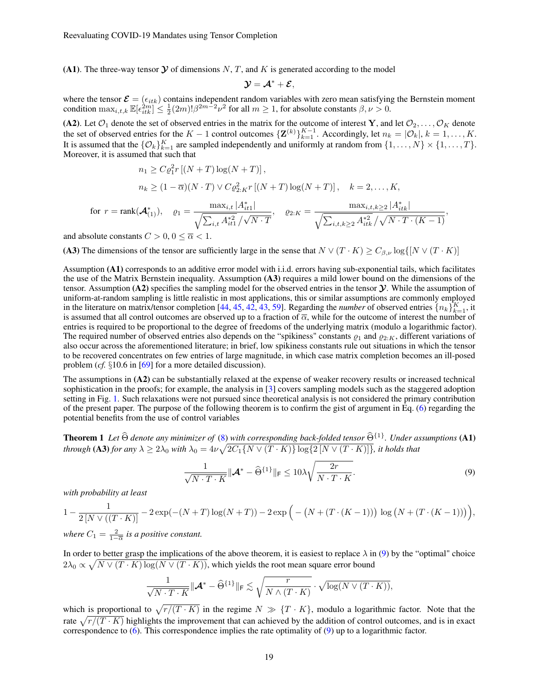(A1). The three-way tensor  $\mathcal Y$  of dimensions N, T, and K is generated according to the model

$$
\mathcal{Y}=\mathcal{A}^*+\mathcal{E},
$$

where the tensor  $\mathcal{E} = (\epsilon_{itk})$  contains independent random variables with zero mean satisfying the Bernstein moment condition  $\max_{i,t,k} \mathbb{E}[\epsilon_{itk}^{2m}] \leq \frac{1}{2}(2m)! \beta^{2m-2}\nu^2$  for all  $m \geq 1$ , for absolute constants  $\beta, \nu > 0$ .

(A2). Let  $\mathcal{O}_1$  denote the set of observed entries in the matrix for the outcome of interest Y, and let  $\mathcal{O}_2, \ldots, \mathcal{O}_K$  denote the set of observed entries for the  $K-1$  control outcomes  $\{\mathbf{Z}^{(k)}\}_{k=1}^{K-1}$ . Accordingly, let  $n_k = |\mathcal{O}_k|, k = 1, \ldots, K$ . It is assumed that the  $\{O_k\}_{k=1}^K$  are sampled independently and uniformly at random from  $\{1,\ldots,N\}\times\{1,\ldots,T\}$ . Moreover, it is assumed that such that

$$
n_1 \ge C\varrho_1^2 r [(N+T)\log(N+T)],
$$
  
\n
$$
n_k \ge (1-\overline{\alpha})(N \cdot T) \vee C\varrho_{2:K}^2 r [(N+T)\log(N+T)], \quad k = 2, ..., K,
$$

$$
\text{for } r = \text{rank}(\mathcal{A}_{(1)}^*), \quad \varrho_1 = \frac{\max_{i,t} |A_{it1}^*|}{\sqrt{\sum_{i,t} A_{it1}^{*2}} / \sqrt{N \cdot T}}, \quad \varrho_{2:K} = \frac{\max_{i,t,k \geq 2} |A_{itk}^*|}{\sqrt{\sum_{i,t,k \geq 2} A_{itk}^{*2}} / \sqrt{N \cdot T \cdot (K-1)}},
$$

and absolute constants  $C > 0, 0 \le \overline{\alpha} < 1$ .

(A3) The dimensions of the tensor are sufficiently large in the sense that  $N \vee (T \cdot K) \geq C_{\beta,\nu} \log\{ [N \vee (T \cdot K)] \}$ 

Assumption (A1) corresponds to an additive error model with i.i.d. errors having sub-exponential tails, which facilitates the use of the Matrix Bernstein inequality. Assumption (A3) requires a mild lower bound on the dimensions of the tensor. Assumption (A2) specifies the sampling model for the observed entries in the tensor  $\mathcal Y$ . While the assumption of uniform-at-random sampling is little realistic in most applications, this or similar assumptions are commonly employed in the literature on matrix/tensor completion [\[44,](#page-22-24) [45,](#page-22-25) [42,](#page-22-22) [43,](#page-22-23) [59\]](#page-23-13). Regarding the *number* of observed entries  $\{n_k\}_{k=1}^K$ , it is assumed that all control outcomes are observed up to a fraction of  $\overline{\alpha}$ , while for the outcome of interest the number of entries is required to be proportional to the degree of freedoms of the underlying matrix (modulo a logarithmic factor). The required number of observed entries also depends on the "spikiness" constants  $\rho_1$  and  $\rho_{2:K}$ , different variations of also occur across the aforementioned literature; in brief, low spikiness constants rule out situations in which the tensor to be recovered concentrates on few entries of large magnitude, in which case matrix completion becomes an ill-posed problem (*cf.* §10.6 in [\[69\]](#page-23-23) for a more detailed discussion).

The assumptions in (A2) can be substantially relaxed at the expense of weaker recovery results or increased technical sophistication in the proofs; for example, the analysis in [\[3\]](#page-21-2) covers sampling models such as the staggered adoption setting in Fig. [1.](#page-7-0) Such relaxations were not pursued since theoretical analysis is not considered the primary contribution of the present paper. The purpose of the following theorem is to confirm the gist of argument in Eq. [\(6\)](#page-16-3) regarding the potential benefits from the use of control variables

<span id="page-18-0"></span>**Theorem 1** *Let*  $\widehat{\Theta}$  *denote any minimizer of* [\(8\)](#page-17-2) *with corresponding back-folded tensor*  $\widehat{\Theta}^{\{1\}}$ *. Under assumptions* (A1) through (**A3**) for any  $\lambda\geq 2\lambda_0$  with  $\lambda_0=4\nu\sqrt{2C_1\{N\vee(T\cdot K)\}\log\{2\left[N\vee(T\cdot K)\right]\}}$ , it holds that

<span id="page-18-1"></span>
$$
\frac{1}{\sqrt{N \cdot T \cdot K}} ||\mathcal{A}^* - \widehat{\Theta}^{\{1\}}||_{\mathsf{F}} \le 10\lambda \sqrt{\frac{2r}{N \cdot T \cdot K}}.
$$
\n(9)

*with probability at least*

$$
1 - \frac{1}{2[N \vee ((T \cdot K)]} - 2\exp(-(N + T)\log(N + T)) - 2\exp(-(N + (T \cdot (K - 1)))\log(N + (T \cdot (K - 1))))),
$$

*where*  $C_1 = \frac{2}{1-\overline{\alpha}}$  *is a positive constant.* 

In order to better grasp the implications of the above theorem, it is easiest to replace  $\lambda$  in [\(9\)](#page-18-1) by the "optimal" choice  $2\lambda_0 \propto \sqrt{N \vee (T \cdot K) \log(N \vee (T \cdot K))}$ , which yields the root mean square error bound

$$
\frac{1}{\sqrt{N\cdot T\cdot K}}\|\mathcal{A}^* - \widehat{\Theta}^{\{1\}}\|_{\mathsf{F}} \lesssim \sqrt{\frac{r}{N\wedge (T\cdot K)}} \cdot \sqrt{\log(N\vee (T\cdot K))},
$$

which is proportional to  $\sqrt{r/(T \cdot K)}$  in the regime  $N \gg \{T \cdot K\}$ , modulo a logarithmic factor. Note that the rate  $\sqrt{r/(T \cdot K)}$  highlights the improvement that can achieved by the addition of control outcomes, and is in exact correspondence to  $(6)$ . This correspondence implies the rate optimality of  $(9)$  up to a logarithmic factor.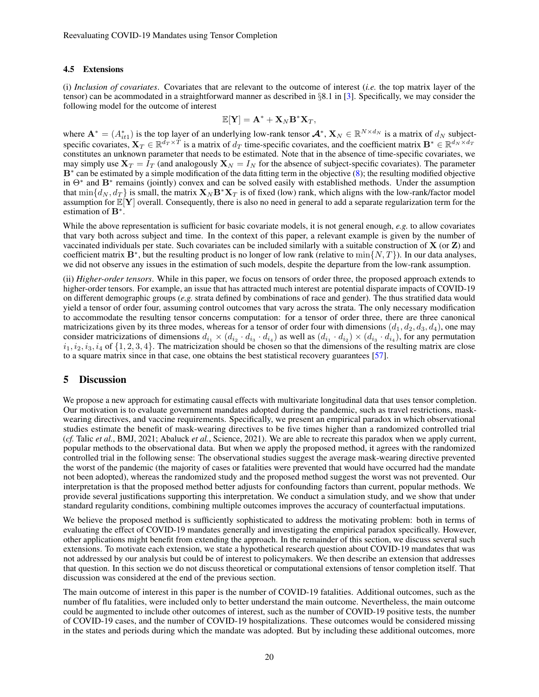#### <span id="page-19-1"></span>4.5 Extensions

(i) *Inclusion of covariates*. Covariates that are relevant to the outcome of interest (*i.e.* the top matrix layer of the tensor) can be acommodated in a straightforward manner as described in §8.1 in [\[3\]](#page-21-2). Specifically, we may consider the following model for the outcome of interest

$$
\mathbb{E}[\mathbf{Y}] = \mathbf{A}^* + \mathbf{X}_N \mathbf{B}^* \mathbf{X}_T,
$$

where  $\mathbf{A}^* = (A_{it1}^*)$  is the top layer of an underlying low-rank tensor  $\mathbf{A}^*, \mathbf{X}_N \in \mathbb{R}^{N \times d_N}$  is a matrix of  $d_N$  subjectspecific covariates,  $\mathbf{X}_T \in \mathbb{R}^{\bar{d}_T \times \bar{T}}$  is a matrix of  $d_T$  time-specific covariates, and the coefficient matrix  $\mathbf{B}^* \in \mathbb{R}^{d_N \times d_T}$ constitutes an unknown parameter that needs to be estimated. Note that in the absence of time-specific covariates, we may simply use  $X_T = I_T$  (and analogously  $X_N = I_N$  for the absence of subject-specific covariates). The parameter B<sup>∗</sup> can be estimated by a simple modification of the data fitting term in the objective [\(8\)](#page-17-2); the resulting modified objective in  $\Theta^*$  and  $\mathbf{B}^*$  remains (jointly) convex and can be solved easily with established methods. Under the assumption that  $\min\{d_N, d_T\}$  is small, the matrix  $\mathbf{X}_N \mathbf{B}^* \mathbf{X}_T$  is of fixed (low) rank, which aligns with the low-rank/factor model assumption for  $\mathbb{E}[Y]$  overall. Consequently, there is also no need in general to add a separate regularization term for the estimation of **B**<sup>∗</sup>.

While the above representation is sufficient for basic covariate models, it is not general enough, *e.g.* to allow covariates that vary both across subject and time. In the context of this paper, a relevant example is given by the number of vaccinated individuals per state. Such covariates can be included similarly with a suitable construction of  $X$  (or  $Z$ ) and coefficient matrix  $\mathbf{B}^*$ , but the resulting product is no longer of low rank (relative to  $\min\{N,T\}$ ). In our data analyses, we did not observe any issues in the estimation of such models, despite the departure from the low-rank assumption.

(ii) *Higher-order tensors*. While in this paper, we focus on tensors of order three, the proposed approach extends to higher-order tensors. For example, an issue that has attracted much interest are potential disparate impacts of COVID-19 on different demographic groups (*e.g.* strata defined by combinations of race and gender). The thus stratified data would yield a tensor of order four, assuming control outcomes that vary across the strata. The only necessary modification to accommodate the resulting tensor concerns computation: for a tensor of order three, there are three canonical matricizations given by its three modes, whereas for a tensor of order four with dimensions  $(d_1, d_2, d_3, d_4)$ , one may consider matricizations of dimensions  $d_{i_1} \times (d_{i_2} \cdot d_{i_3} \cdot d_{i_4})$  as well as  $(d_{i_1} \cdot d_{i_2}) \times (d_{i_3} \cdot d_{i_4})$ , for any permutation  $i_1, i_2, i_3, i_4$  of  $\{1, 2, 3, 4\}$ . The matricization should be chosen so that the dimensions of the resulting matrix are close to a square matrix since in that case, one obtains the best statistical recovery guarantees [\[57\]](#page-23-11).

## <span id="page-19-0"></span>5 Discussion

We propose a new approach for estimating causal effects with multivariate longitudinal data that uses tensor completion. Our motivation is to evaluate government mandates adopted during the pandemic, such as travel restrictions, maskwearing directives, and vaccine requirements. Specifically, we present an empirical paradox in which observational studies estimate the benefit of mask-wearing directives to be five times higher than a randomized controlled trial (*cf.* Talic *et al.*, BMJ, 2021; Abaluck *et al.*, Science, 2021). We are able to recreate this paradox when we apply current, popular methods to the observational data. But when we apply the proposed method, it agrees with the randomized controlled trial in the following sense: The observational studies suggest the average mask-wearing directive prevented the worst of the pandemic (the majority of cases or fatalities were prevented that would have occurred had the mandate not been adopted), whereas the randomized study and the proposed method suggest the worst was not prevented. Our interpretation is that the proposed method better adjusts for confounding factors than current, popular methods. We provide several justifications supporting this interpretation. We conduct a simulation study, and we show that under standard regularity conditions, combining multiple outcomes improves the accuracy of counterfactual imputations.

We believe the proposed method is sufficiently sophisticated to address the motivating problem: both in terms of evaluating the effect of COVID-19 mandates generally and investigating the empirical paradox specifically. However, other applications might benefit from extending the approach. In the remainder of this section, we discuss several such extensions. To motivate each extension, we state a hypothetical research question about COVID-19 mandates that was not addressed by our analysis but could be of interest to policymakers. We then describe an extension that addresses that question. In this section we do not discuss theoretical or computational extensions of tensor completion itself. That discussion was considered at the end of the previous section.

The main outcome of interest in this paper is the number of COVID-19 fatalities. Additional outcomes, such as the number of flu fatalities, were included only to better understand the main outcome. Nevertheless, the main outcome could be augmented to include other outcomes of interest, such as the number of COVID-19 positive tests, the number of COVID-19 cases, and the number of COVID-19 hospitalizations. These outcomes would be considered missing in the states and periods during which the mandate was adopted. But by including these additional outcomes, more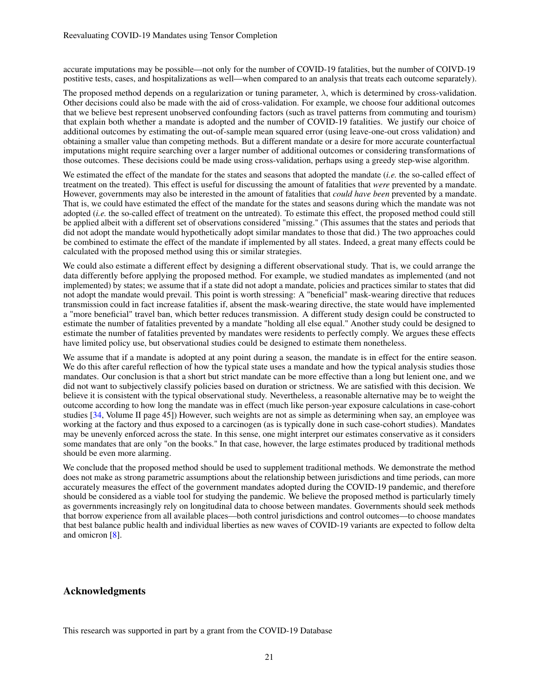accurate imputations may be possible—not only for the number of COVID-19 fatalities, but the number of COIVD-19 postitive tests, cases, and hospitalizations as well—when compared to an analysis that treats each outcome separately).

The proposed method depends on a regularization or tuning parameter,  $\lambda$ , which is determined by cross-validation. Other decisions could also be made with the aid of cross-validation. For example, we choose four additional outcomes that we believe best represent unobserved confounding factors (such as travel patterns from commuting and tourism) that explain both whether a mandate is adopted and the number of COVID-19 fatalities. We justify our choice of additional outcomes by estimating the out-of-sample mean squared error (using leave-one-out cross validation) and obtaining a smaller value than competing methods. But a different mandate or a desire for more accurate counterfactual imputations might require searching over a larger number of additional outcomes or considering transformations of those outcomes. These decisions could be made using cross-validation, perhaps using a greedy step-wise algorithm.

We estimated the effect of the mandate for the states and seasons that adopted the mandate (*i.e.* the so-called effect of treatment on the treated). This effect is useful for discussing the amount of fatalities that *were* prevented by a mandate. However, governments may also be interested in the amount of fatalities that *could have been* prevented by a mandate. That is, we could have estimated the effect of the mandate for the states and seasons during which the mandate was not adopted (*i.e.* the so-called effect of treatment on the untreated). To estimate this effect, the proposed method could still be applied albeit with a different set of observations considered "missing." (This assumes that the states and periods that did not adopt the mandate would hypothetically adopt similar mandates to those that did.) The two approaches could be combined to estimate the effect of the mandate if implemented by all states. Indeed, a great many effects could be calculated with the proposed method using this or similar strategies.

We could also estimate a different effect by designing a different observational study. That is, we could arrange the data differently before applying the proposed method. For example, we studied mandates as implemented (and not implemented) by states; we assume that if a state did not adopt a mandate, policies and practices similar to states that did not adopt the mandate would prevail. This point is worth stressing: A "beneficial" mask-wearing directive that reduces transmission could in fact increase fatalities if, absent the mask-wearing directive, the state would have implemented a "more beneficial" travel ban, which better reduces transmission. A different study design could be constructed to estimate the number of fatalities prevented by a mandate "holding all else equal." Another study could be designed to estimate the number of fatalities prevented by mandates were residents to perfectly comply. We argues these effects have limited policy use, but observational studies could be designed to estimate them nonetheless.

We assume that if a mandate is adopted at any point during a season, the mandate is in effect for the entire season. We do this after careful reflection of how the typical state uses a mandate and how the typical analysis studies those mandates. Our conclusion is that a short but strict mandate can be more effective than a long but lenient one, and we did not want to subjectively classify policies based on duration or strictness. We are satisfied with this decision. We believe it is consistent with the typical observational study. Nevertheless, a reasonable alternative may be to weight the outcome according to how long the mandate was in effect (much like person-year exposure calculations in case-cohort studies [\[34,](#page-22-14) Volume II page 45]) However, such weights are not as simple as determining when say, an employee was working at the factory and thus exposed to a carcinogen (as is typically done in such case-cohort studies). Mandates may be unevenly enforced across the state. In this sense, one might interpret our estimates conservative as it considers some mandates that are only "on the books." In that case, however, the large estimates produced by traditional methods should be even more alarming.

We conclude that the proposed method should be used to supplement traditional methods. We demonstrate the method does not make as strong parametric assumptions about the relationship between jurisdictions and time periods, can more accurately measures the effect of the government mandates adopted during the COVID-19 pandemic, and therefore should be considered as a viable tool for studying the pandemic. We believe the proposed method is particularly timely as governments increasingly rely on longitudinal data to choose between mandates. Governments should seek methods that borrow experience from all available places—both control jurisdictions and control outcomes—to choose mandates that best balance public health and individual liberties as new waves of COVID-19 variants are expected to follow delta and omicron [\[8\]](#page-21-7).

# Acknowledgments

This research was supported in part by a grant from the COVID-19 Database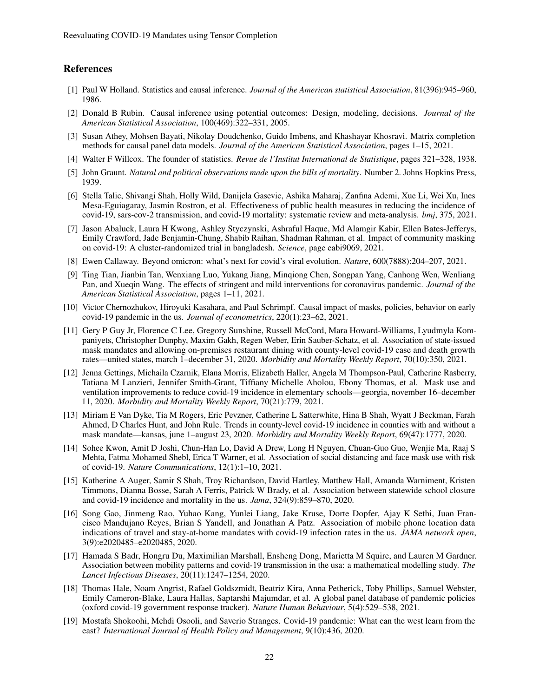# References

- <span id="page-21-0"></span>[1] Paul W Holland. Statistics and causal inference. *Journal of the American statistical Association*, 81(396):945–960, 1986.
- <span id="page-21-1"></span>[2] Donald B Rubin. Causal inference using potential outcomes: Design, modeling, decisions. *Journal of the American Statistical Association*, 100(469):322–331, 2005.
- <span id="page-21-2"></span>[3] Susan Athey, Mohsen Bayati, Nikolay Doudchenko, Guido Imbens, and Khashayar Khosravi. Matrix completion methods for causal panel data models. *Journal of the American Statistical Association*, pages 1–15, 2021.
- <span id="page-21-3"></span>[4] Walter F Willcox. The founder of statistics. *Revue de l'Institut International de Statistique*, pages 321–328, 1938.
- <span id="page-21-4"></span>[5] John Graunt. *Natural and political observations made upon the bills of mortality*. Number 2. Johns Hopkins Press, 1939.
- <span id="page-21-5"></span>[6] Stella Talic, Shivangi Shah, Holly Wild, Danijela Gasevic, Ashika Maharaj, Zanfina Ademi, Xue Li, Wei Xu, Ines Mesa-Eguiagaray, Jasmin Rostron, et al. Effectiveness of public health measures in reducing the incidence of covid-19, sars-cov-2 transmission, and covid-19 mortality: systematic review and meta-analysis. *bmj*, 375, 2021.
- <span id="page-21-6"></span>[7] Jason Abaluck, Laura H Kwong, Ashley Styczynski, Ashraful Haque, Md Alamgir Kabir, Ellen Bates-Jefferys, Emily Crawford, Jade Benjamin-Chung, Shabib Raihan, Shadman Rahman, et al. Impact of community masking on covid-19: A cluster-randomized trial in bangladesh. *Science*, page eabi9069, 2021.
- <span id="page-21-7"></span>[8] Ewen Callaway. Beyond omicron: what's next for covid's viral evolution. *Nature*, 600(7888):204–207, 2021.
- <span id="page-21-8"></span>[9] Ting Tian, Jianbin Tan, Wenxiang Luo, Yukang Jiang, Minqiong Chen, Songpan Yang, Canhong Wen, Wenliang Pan, and Xueqin Wang. The effects of stringent and mild interventions for coronavirus pandemic. *Journal of the American Statistical Association*, pages 1–11, 2021.
- <span id="page-21-9"></span>[10] Victor Chernozhukov, Hiroyuki Kasahara, and Paul Schrimpf. Causal impact of masks, policies, behavior on early covid-19 pandemic in the us. *Journal of econometrics*, 220(1):23–62, 2021.
- <span id="page-21-10"></span>[11] Gery P Guy Jr, Florence C Lee, Gregory Sunshine, Russell McCord, Mara Howard-Williams, Lyudmyla Kompaniyets, Christopher Dunphy, Maxim Gakh, Regen Weber, Erin Sauber-Schatz, et al. Association of state-issued mask mandates and allowing on-premises restaurant dining with county-level covid-19 case and death growth rates—united states, march 1–december 31, 2020. *Morbidity and Mortality Weekly Report*, 70(10):350, 2021.
- <span id="page-21-11"></span>[12] Jenna Gettings, Michaila Czarnik, Elana Morris, Elizabeth Haller, Angela M Thompson-Paul, Catherine Rasberry, Tatiana M Lanzieri, Jennifer Smith-Grant, Tiffiany Michelle Aholou, Ebony Thomas, et al. Mask use and ventilation improvements to reduce covid-19 incidence in elementary schools—georgia, november 16–december 11, 2020. *Morbidity and Mortality Weekly Report*, 70(21):779, 2021.
- <span id="page-21-12"></span>[13] Miriam E Van Dyke, Tia M Rogers, Eric Pevzner, Catherine L Satterwhite, Hina B Shah, Wyatt J Beckman, Farah Ahmed, D Charles Hunt, and John Rule. Trends in county-level covid-19 incidence in counties with and without a mask mandate—kansas, june 1–august 23, 2020. *Morbidity and Mortality Weekly Report*, 69(47):1777, 2020.
- <span id="page-21-13"></span>[14] Sohee Kwon, Amit D Joshi, Chun-Han Lo, David A Drew, Long H Nguyen, Chuan-Guo Guo, Wenjie Ma, Raaj S Mehta, Fatma Mohamed Shebl, Erica T Warner, et al. Association of social distancing and face mask use with risk of covid-19. *Nature Communications*, 12(1):1–10, 2021.
- <span id="page-21-14"></span>[15] Katherine A Auger, Samir S Shah, Troy Richardson, David Hartley, Matthew Hall, Amanda Warniment, Kristen Timmons, Dianna Bosse, Sarah A Ferris, Patrick W Brady, et al. Association between statewide school closure and covid-19 incidence and mortality in the us. *Jama*, 324(9):859–870, 2020.
- <span id="page-21-15"></span>[16] Song Gao, Jinmeng Rao, Yuhao Kang, Yunlei Liang, Jake Kruse, Dorte Dopfer, Ajay K Sethi, Juan Francisco Mandujano Reyes, Brian S Yandell, and Jonathan A Patz. Association of mobile phone location data indications of travel and stay-at-home mandates with covid-19 infection rates in the us. *JAMA network open*, 3(9):e2020485–e2020485, 2020.
- <span id="page-21-16"></span>[17] Hamada S Badr, Hongru Du, Maximilian Marshall, Ensheng Dong, Marietta M Squire, and Lauren M Gardner. Association between mobility patterns and covid-19 transmission in the usa: a mathematical modelling study. *The Lancet Infectious Diseases*, 20(11):1247–1254, 2020.
- <span id="page-21-17"></span>[18] Thomas Hale, Noam Angrist, Rafael Goldszmidt, Beatriz Kira, Anna Petherick, Toby Phillips, Samuel Webster, Emily Cameron-Blake, Laura Hallas, Saptarshi Majumdar, et al. A global panel database of pandemic policies (oxford covid-19 government response tracker). *Nature Human Behaviour*, 5(4):529–538, 2021.
- <span id="page-21-18"></span>[19] Mostafa Shokoohi, Mehdi Osooli, and Saverio Stranges. Covid-19 pandemic: What can the west learn from the east? *International Journal of Health Policy and Management*, 9(10):436, 2020.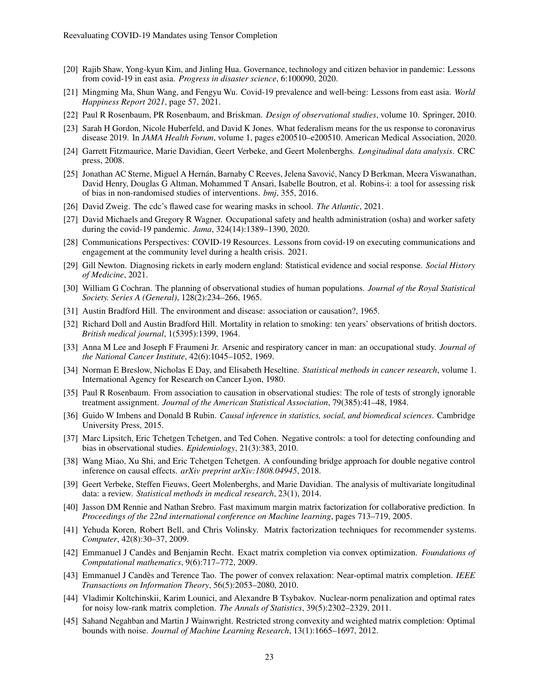- <span id="page-22-0"></span>[20] Rajib Shaw, Yong-kyun Kim, and Jinling Hua. Governance, technology and citizen behavior in pandemic: Lessons from covid-19 in east asia. *Progress in disaster science*, 6:100090, 2020.
- <span id="page-22-1"></span>[21] Mingming Ma, Shun Wang, and Fengyu Wu. Covid-19 prevalence and well-being: Lessons from east asia. *World Happiness Report 2021*, page 57, 2021.
- <span id="page-22-2"></span>[22] Paul R Rosenbaum, PR Rosenbaum, and Briskman. *Design of observational studies*, volume 10. Springer, 2010.
- <span id="page-22-3"></span>[23] Sarah H Gordon, Nicole Huberfeld, and David K Jones. What federalism means for the us response to coronavirus disease 2019. In *JAMA Health Forum*, volume 1, pages e200510–e200510. American Medical Association, 2020.
- <span id="page-22-4"></span>[24] Garrett Fitzmaurice, Marie Davidian, Geert Verbeke, and Geert Molenberghs. *Longitudinal data analysis*. CRC press, 2008.
- <span id="page-22-5"></span>[25] Jonathan AC Sterne, Miguel A Hernán, Barnaby C Reeves, Jelena Savovic, Nancy D Berkman, Meera Viswanathan, ´ David Henry, Douglas G Altman, Mohammed T Ansari, Isabelle Boutron, et al. Robins-i: a tool for assessing risk of bias in non-randomised studies of interventions. *bmj*, 355, 2016.
- <span id="page-22-6"></span>[26] David Zweig. The cdc's flawed case for wearing masks in school. *The Atlantic*, 2021.
- <span id="page-22-7"></span>[27] David Michaels and Gregory R Wagner. Occupational safety and health administration (osha) and worker safety during the covid-19 pandemic. *Jama*, 324(14):1389–1390, 2020.
- <span id="page-22-8"></span>[28] Communications Perspectives: COVID-19 Resources. Lessons from covid-19 on executing communications and engagement at the community level during a health crisis. 2021.
- <span id="page-22-9"></span>[29] Gill Newton. Diagnosing rickets in early modern england: Statistical evidence and social response. *Social History of Medicine*, 2021.
- <span id="page-22-10"></span>[30] William G Cochran. The planning of observational studies of human populations. *Journal of the Royal Statistical Society. Series A (General)*, 128(2):234–266, 1965.
- <span id="page-22-11"></span>[31] Austin Bradford Hill. The environment and disease: association or causation?, 1965.
- <span id="page-22-12"></span>[32] Richard Doll and Austin Bradford Hill. Mortality in relation to smoking: ten years' observations of british doctors. *British medical journal*, 1(5395):1399, 1964.
- <span id="page-22-13"></span>[33] Anna M Lee and Joseph F Fraumeni Jr. Arsenic and respiratory cancer in man: an occupational study. *Journal of the National Cancer Institute*, 42(6):1045–1052, 1969.
- <span id="page-22-14"></span>[34] Norman E Breslow, Nicholas E Day, and Elisabeth Heseltine. *Statistical methods in cancer research*, volume 1. International Agency for Research on Cancer Lyon, 1980.
- <span id="page-22-15"></span>[35] Paul R Rosenbaum. From association to causation in observational studies: The role of tests of strongly ignorable treatment assignment. *Journal of the American Statistical Association*, 79(385):41–48, 1984.
- <span id="page-22-16"></span>[36] Guido W Imbens and Donald B Rubin. *Causal inference in statistics, social, and biomedical sciences*. Cambridge University Press, 2015.
- <span id="page-22-17"></span>[37] Marc Lipsitch, Eric Tchetgen Tchetgen, and Ted Cohen. Negative controls: a tool for detecting confounding and bias in observational studies. *Epidemiology*, 21(3):383, 2010.
- <span id="page-22-18"></span>[38] Wang Miao, Xu Shi, and Eric Tchetgen Tchetgen. A confounding bridge approach for double negative control inference on causal effects. *arXiv preprint arXiv:1808.04945*, 2018.
- <span id="page-22-19"></span>[39] Geert Verbeke, Steffen Fieuws, Geert Molenberghs, and Marie Davidian. The analysis of multivariate longitudinal data: a review. *Statistical methods in medical research*, 23(1), 2014.
- <span id="page-22-20"></span>[40] Jasson DM Rennie and Nathan Srebro. Fast maximum margin matrix factorization for collaborative prediction. In *Proceedings of the 22nd international conference on Machine learning*, pages 713–719, 2005.
- <span id="page-22-21"></span>[41] Yehuda Koren, Robert Bell, and Chris Volinsky. Matrix factorization techniques for recommender systems. *Computer*, 42(8):30–37, 2009.
- <span id="page-22-22"></span>[42] Emmanuel J Candès and Benjamin Recht. Exact matrix completion via convex optimization. *Foundations of Computational mathematics*, 9(6):717–772, 2009.
- <span id="page-22-23"></span>[43] Emmanuel J Candès and Terence Tao. The power of convex relaxation: Near-optimal matrix completion. *IEEE Transactions on Information Theory*, 56(5):2053–2080, 2010.
- <span id="page-22-24"></span>[44] Vladimir Koltchinskii, Karim Lounici, and Alexandre B Tsybakov. Nuclear-norm penalization and optimal rates for noisy low-rank matrix completion. *The Annals of Statistics*, 39(5):2302–2329, 2011.
- <span id="page-22-25"></span>[45] Sahand Negahban and Martin J Wainwright. Restricted strong convexity and weighted matrix completion: Optimal bounds with noise. *Journal of Machine Learning Research*, 13(1):1665–1697, 2012.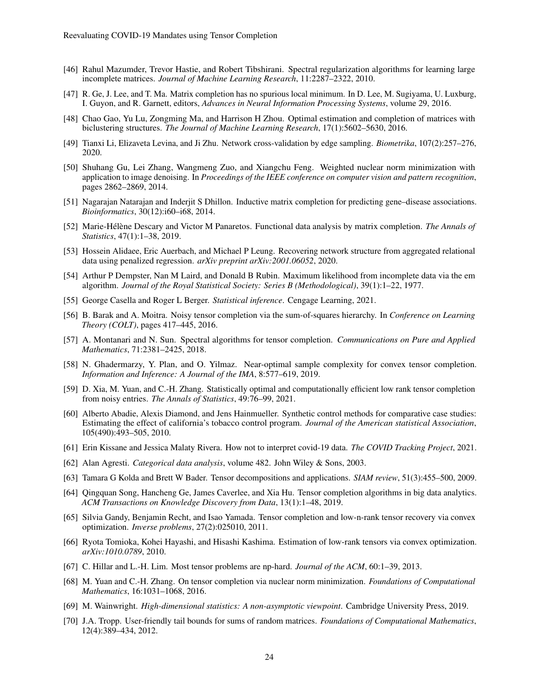- <span id="page-23-0"></span>[46] Rahul Mazumder, Trevor Hastie, and Robert Tibshirani. Spectral regularization algorithms for learning large incomplete matrices. *Journal of Machine Learning Research*, 11:2287–2322, 2010.
- <span id="page-23-1"></span>[47] R. Ge, J. Lee, and T. Ma. Matrix completion has no spurious local minimum. In D. Lee, M. Sugiyama, U. Luxburg, I. Guyon, and R. Garnett, editors, *Advances in Neural Information Processing Systems*, volume 29, 2016.
- <span id="page-23-2"></span>[48] Chao Gao, Yu Lu, Zongming Ma, and Harrison H Zhou. Optimal estimation and completion of matrices with biclustering structures. *The Journal of Machine Learning Research*, 17(1):5602–5630, 2016.
- <span id="page-23-3"></span>[49] Tianxi Li, Elizaveta Levina, and Ji Zhu. Network cross-validation by edge sampling. *Biometrika*, 107(2):257–276, 2020.
- <span id="page-23-4"></span>[50] Shuhang Gu, Lei Zhang, Wangmeng Zuo, and Xiangchu Feng. Weighted nuclear norm minimization with application to image denoising. In *Proceedings of the IEEE conference on computer vision and pattern recognition*, pages 2862–2869, 2014.
- <span id="page-23-5"></span>[51] Nagarajan Natarajan and Inderjit S Dhillon. Inductive matrix completion for predicting gene–disease associations. *Bioinformatics*, 30(12):i60–i68, 2014.
- <span id="page-23-6"></span>[52] Marie-Hélène Descary and Victor M Panaretos. Functional data analysis by matrix completion. *The Annals of Statistics*, 47(1):1–38, 2019.
- <span id="page-23-7"></span>[53] Hossein Alidaee, Eric Auerbach, and Michael P Leung. Recovering network structure from aggregated relational data using penalized regression. *arXiv preprint arXiv:2001.06052*, 2020.
- <span id="page-23-8"></span>[54] Arthur P Dempster, Nan M Laird, and Donald B Rubin. Maximum likelihood from incomplete data via the em algorithm. *Journal of the Royal Statistical Society: Series B (Methodological)*, 39(1):1–22, 1977.
- <span id="page-23-9"></span>[55] George Casella and Roger L Berger. *Statistical inference*. Cengage Learning, 2021.
- <span id="page-23-10"></span>[56] B. Barak and A. Moitra. Noisy tensor completion via the sum-of-squares hierarchy. In *Conference on Learning Theory (COLT)*, pages 417–445, 2016.
- <span id="page-23-11"></span>[57] A. Montanari and N. Sun. Spectral algorithms for tensor completion. *Communications on Pure and Applied Mathematics*, 71:2381–2425, 2018.
- <span id="page-23-12"></span>[58] N. Ghadermarzy, Y. Plan, and O. Yilmaz. Near-optimal sample complexity for convex tensor completion. *Information and Inference: A Journal of the IMA*, 8:577–619, 2019.
- <span id="page-23-13"></span>[59] D. Xia, M. Yuan, and C.-H. Zhang. Statistically optimal and computationally efficient low rank tensor completion from noisy entries. *The Annals of Statistics*, 49:76–99, 2021.
- <span id="page-23-14"></span>[60] Alberto Abadie, Alexis Diamond, and Jens Hainmueller. Synthetic control methods for comparative case studies: Estimating the effect of california's tobacco control program. *Journal of the American statistical Association*, 105(490):493–505, 2010.
- <span id="page-23-15"></span>[61] Erin Kissane and Jessica Malaty Rivera. How not to interpret covid-19 data. *The COVID Tracking Project*, 2021.
- <span id="page-23-16"></span>[62] Alan Agresti. *Categorical data analysis*, volume 482. John Wiley & Sons, 2003.
- <span id="page-23-17"></span>[63] Tamara G Kolda and Brett W Bader. Tensor decompositions and applications. *SIAM review*, 51(3):455–500, 2009.
- <span id="page-23-18"></span>[64] Qingquan Song, Hancheng Ge, James Caverlee, and Xia Hu. Tensor completion algorithms in big data analytics. *ACM Transactions on Knowledge Discovery from Data*, 13(1):1–48, 2019.
- <span id="page-23-19"></span>[65] Silvia Gandy, Benjamin Recht, and Isao Yamada. Tensor completion and low-n-rank tensor recovery via convex optimization. *Inverse problems*, 27(2):025010, 2011.
- <span id="page-23-20"></span>[66] Ryota Tomioka, Kohei Hayashi, and Hisashi Kashima. Estimation of low-rank tensors via convex optimization. *arXiv:1010.0789*, 2010.
- <span id="page-23-21"></span>[67] C. Hillar and L.-H. Lim. Most tensor problems are np-hard. *Journal of the ACM*, 60:1–39, 2013.
- <span id="page-23-22"></span>[68] M. Yuan and C.-H. Zhang. On tensor completion via nuclear norm minimization. *Foundations of Computational Mathematics*, 16:1031–1068, 2016.
- <span id="page-23-23"></span>[69] M. Wainwright. *High-dimensional statistics: A non-asymptotic viewpoint*. Cambridge University Press, 2019.
- <span id="page-23-24"></span>[70] J.A. Tropp. User-friendly tail bounds for sums of random matrices. *Foundations of Computational Mathematics*, 12(4):389–434, 2012.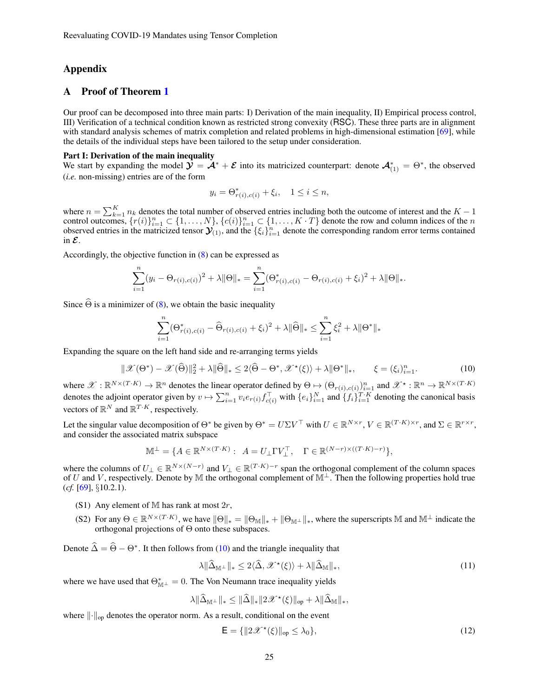# Appendix

# A Proof of Theorem [1](#page-18-0)

Our proof can be decomposed into three main parts: I) Derivation of the main inequality, II) Empirical process control, III) Verification of a technical condition known as restricted strong convexity (RSC). These three parts are in alignment with standard analysis schemes of matrix completion and related problems in high-dimensional estimation [\[69\]](#page-23-23), while the details of the individual steps have been tailored to the setup under consideration.

#### Part I: Derivation of the main inequality

We start by expanding the model  $\mathcal{Y} = \mathcal{A}^* + \mathcal{E}$  into its matricized counterpart: denote  $\mathcal{A}_{(1)}^* = \Theta^*$ , the observed (*i.e.* non-missing) entries are of the form

$$
y_i = \Theta^*_{r(i),c(i)} + \xi_i, \quad 1 \le i \le n,
$$

where  $n = \sum_{k=1}^{K} n_k$  denotes the total number of observed entries including both the outcome of interest and the  $K - 1$ control outcomes,  $\{r(i)\}_{i=1}^n \subset \{1,\ldots,N\}$ ,  $\{c(i)\}_{i=1}^n \subset \{1,\ldots,K\cdot T\}$  denote the row and column indices of the n observed entries in the matricized tensor  $\mathcal{Y}_{(1)}$ , and the  $\{\xi_i\}_{i=1}^n$  denote the corresponding random error terms contained in  $\mathcal{E}$ .

Accordingly, the objective function in [\(8\)](#page-17-2) can be expressed as

$$
\sum_{i=1}^{n} (y_i - \Theta_{r(i),c(i)})^2 + \lambda \|\Theta\|_{*} = \sum_{i=1}^{n} (\Theta_{r(i),c(i)}^{*} - \Theta_{r(i),c(i)} + \xi_i)^2 + \lambda \|\Theta\|_{*}.
$$

Since  $\widehat{\Theta}$  is a minimizer of [\(8\)](#page-17-2), we obtain the basic inequality

<span id="page-24-0"></span>
$$
\sum_{i=1}^{n} (\Theta_{r(i),c(i)}^{*} - \widehat{\Theta}_{r(i),c(i)} + \xi_{i})^{2} + \lambda \|\widehat{\Theta}\|_{*} \le \sum_{i=1}^{n} \xi_{i}^{2} + \lambda \|\Theta^{*}\|_{*}
$$

Expanding the square on the left hand side and re-arranging terms yields

$$
\|\mathcal{X}(\Theta^*) - \mathcal{X}(\widehat{\Theta})\|_2^2 + \lambda \|\widehat{\Theta}\|_* \le 2\langle \widehat{\Theta} - \Theta^*, \mathcal{X}^{\star}(\xi) \rangle + \lambda \|\Theta^*\|_*, \qquad \xi = (\xi_i)_{i=1}^n. \tag{10}
$$

where  $\mathscr{X} : \mathbb{R}^{N \times (T \cdot K)} \to \mathbb{R}^n$  denotes the linear operator defined by  $\Theta \mapsto (\Theta_{r(i),c(i)})_{i=1}^n$  and  $\mathscr{X}^\star : \mathbb{R}^n \to \mathbb{R}^{N \times (T \cdot K)}$ denotes the adjoint operator given by  $v \mapsto \sum_{i=1}^n v_i e_{r(i)} f_{c(i)}^{\top}$  with  $\{e_i\}_{i=1}^N$  and  $\{f_i\}_{i=1}^{T \cdot K}$  denoting the canonical basis vectors of  $\mathbb{R}^N$  and  $\mathbb{R}^{T \cdot K}$ , respectively.

Let the singular value decomposition of  $\Theta^*$  be given by  $\Theta^* = U \Sigma V^\top$  with  $U \in \mathbb{R}^{N \times r}$ ,  $V \in \mathbb{R}^{(T \cdot K) \times r}$ , and  $\Sigma \in \mathbb{R}^{r \times r}$ , and consider the associated matrix subspace

$$
\mathbb{M}^\perp = \{ A \in \mathbb{R}^{N \times (T \cdot K)} : A = U_\perp \Gamma V_\perp^\top, \quad \Gamma \in \mathbb{R}^{(N-r) \times ((T \cdot K) - r)} \},
$$

where the columns of  $U_{\perp} \in \mathbb{R}^{N \times (N-r)}$  and  $V_{\perp} \in \mathbb{R}^{(T \cdot K)-r}$  span the orthogonal complement of the column spaces of U and V, respectively. Denote by M the orthogonal complement of  $\mathbb{M}^{\perp}$ . Then the following properties hold true (*cf.* [\[69\]](#page-23-23), §10.2.1).

- (S1) Any element of M has rank at most  $2r$ ,
- (S2) For any  $\Theta \in \mathbb{R}^{N \times (T \cdot K)}$ , we have  $\|\Theta\|_* = \|\Theta_{\mathbb{M}}\|_* + \|\Theta_{\mathbb{M}^{\perp}}\|_*$ , where the superscripts M and  $\mathbb{M}^{\perp}$  indicate the orthogonal projections of Θ onto these subspaces.

Denote  $\hat{\Delta} = \hat{\Theta} - \Theta^*$ . It then follows from [\(10\)](#page-24-0) and the triangle inequality that

<span id="page-24-1"></span>
$$
\lambda \|\widehat{\Delta}_{\mathbb{M}^{\perp}}\|_{*} \leq 2\langle \widehat{\Delta}, \mathscr{X}^{\star}(\xi) \rangle + \lambda \|\widehat{\Delta}_{\mathbb{M}}\|_{*},\tag{11}
$$

where we have used that  $\Theta_{\mathbb{M}^\perp}^* = 0$ . The Von Neumann trace inequality yields

$$
\lambda \|\widehat{\Delta}_{\mathbb{M}^{\perp}}\|_{*} \leq \|\widehat{\Delta}\|_{*} \|2\mathscr{X}^{\star}(\xi)\|_{\text{op}} + \lambda \|\widehat{\Delta}_{\mathbb{M}}\|_{*},
$$

where  $\lVert \cdot \rVert_{\text{op}}$  denotes the operator norm. As a result, conditional on the event

<span id="page-24-2"></span>
$$
\mathsf{E} = \{ ||2\mathcal{X}^{\star}(\xi)||_{\text{op}} \le \lambda_0 \},\tag{12}
$$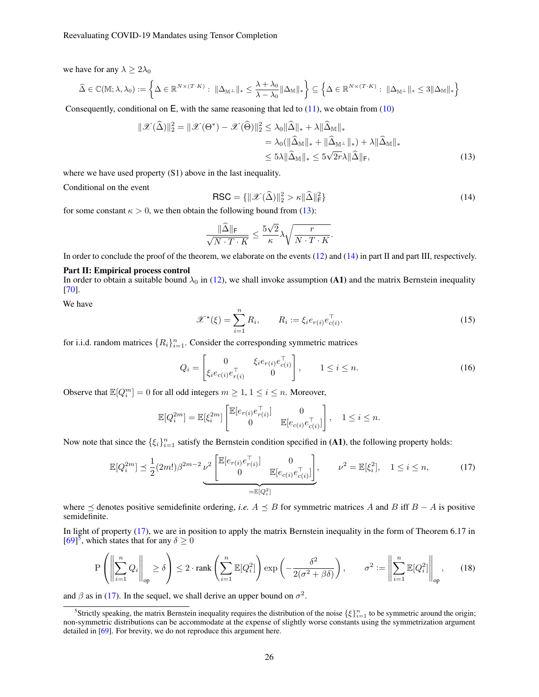we have for any  $\lambda > 2\lambda_0$ 

$$
\widehat{\Delta} \in \mathbb{C}(\mathbb{M}; \lambda, \lambda_0) := \left\{ \Delta \in \mathbb{R}^{N \times (T \cdot K)} : \ \|\Delta_{\mathbb{M}^{\perp}}\|_{*} \leq \frac{\lambda + \lambda_0}{\lambda - \lambda_0} \|\Delta_{\mathbb{M}}\|_{*} \right\} \subseteq \left\{ \Delta \in \mathbb{R}^{N \times (T \cdot K)} : \ \|\Delta_{\mathbb{M}^{\perp}}\|_{*} \leq 3 \|\Delta_{\mathbb{M}}\|_{*} \right\}
$$

Consequently, conditional on  $E$ , with the same reasoning that led to  $(11)$ , we obtain from  $(10)$ 

<span id="page-25-1"></span>
$$
\|\mathcal{X}(\widehat{\Delta})\|_{2}^{2} = \|\mathcal{X}(\Theta^{*}) - \mathcal{X}(\widehat{\Theta})\|_{2}^{2} \le \lambda_{0} \|\widehat{\Delta}\|_{*} + \lambda \|\widehat{\Delta}_{\mathbb{M}}\|_{*}
$$
  
\n
$$
= \lambda_{0} (\|\widehat{\Delta}_{\mathbb{M}}\|_{*} + \|\widehat{\Delta}_{\mathbb{M}^{\perp}}\|_{*}) + \lambda \|\widehat{\Delta}_{\mathbb{M}}\|_{*}
$$
  
\n
$$
\le 5\lambda \|\widehat{\Delta}_{\mathbb{M}}\|_{*} \le 5\sqrt{2r}\lambda \|\widehat{\Delta}\|_{F},
$$
\n(13)

where we have used property  $(S1)$  above in the last inequality.

Conditional on the event

<span id="page-25-0"></span>
$$
\text{RSC} = \{ \|\mathcal{X}(\widehat{\Delta})\|_2^2 > \kappa \|\widehat{\Delta}\|_F^2 \}
$$
(14)

for some constant  $\kappa > 0$ , we then obtain the following bound from [\(13\)](#page-25-0):

$$
\frac{\|\widehat{\Delta}\|_{\mathrm{F}}}{\sqrt{N\cdot T\cdot K}} \le \frac{5\sqrt{2}}{\kappa} \lambda \sqrt{\frac{r}{N\cdot T\cdot K}}.
$$

In order to conclude the proof of the theorem, we elaborate on the events [\(12\)](#page-24-2) and [\(14\)](#page-25-1) in part II and part III, respectively.

#### Part II: Empirical process control

In order to obtain a suitable bound  $\lambda_0$  in [\(12\)](#page-24-2), we shall invoke assumption (A1) and the matrix Bernstein inequality [\[70\]](#page-23-24).

<span id="page-25-4"></span>We have

<span id="page-25-5"></span>
$$
\mathcal{X}^{\star}(\xi) = \sum_{i=1}^{n} R_i, \qquad R_i := \xi_i e_{r(i)} e_{c(i)}^{\top}.
$$
 (15)

for i.i.d. random matrices  $\{R_i\}_{i=1}^n$ . Consider the corresponding symmetric matrices

<span id="page-25-2"></span>
$$
Q_i = \begin{bmatrix} 0 & \xi_i e_{r(i)} e_{c(i)}^\top \\ \xi_i e_{c(i)} e_{r(i)}^\top & 0 \end{bmatrix}, \qquad 1 \le i \le n. \tag{16}
$$

Observe that  $\mathbb{E}[Q_i^m] = 0$  for all odd integers  $m \geq 1, 1 \leq i \leq n$ . Moreover,

$$
\mathbb{E}[Q_i^{2m}] = \mathbb{E}[\xi_i^{2m}] \begin{bmatrix} \mathbb{E}[e_{r(i)}e_{r(i)}^\top] & 0 \\ 0 & \mathbb{E}[e_{c(i)}e_{c(i)}^\top] \end{bmatrix}, \quad 1 \le i \le n.
$$

Now note that since the  $\{\xi_i\}_{i=1}^n$  satisfy the Bernstein condition specified in (A1), the following property holds:

$$
\mathbb{E}[Q_i^{2m}] \leq \frac{1}{2}(2m!) \beta^{2m-2} \nu^2 \underbrace{\begin{bmatrix} \mathbb{E}[e_{r(i)} e_{r(i)}^\top] & 0\\ 0 & \mathbb{E}[e_{c(i)} e_{c(i)}^\top] \end{bmatrix}}_{=\mathbb{E}[Q_i^2]}, \quad \nu^2 = \mathbb{E}[\xi_i^2], \quad 1 \leq i \leq n,
$$
 (17)

where  $\preceq$  denotes positive semidefinite ordering, *i.e.*  $A \preceq B$  for symmetric matrices A and B iff  $B - A$  is positive semidefinite.

In light of property [\(17\)](#page-25-2), we are in position to apply the matrix Bernstein inequality in the form of Theorem 6.17 in  $[69]$ <sup>[5](#page-25-3)</sup>, which states that for any  $\delta \geq 0$ 

$$
\mathcal{P}\left(\left\|\sum_{i=1}^{n}Q_{i}\right\|_{\text{op}}\ge\delta\right)\le2\cdot\mathsf{rank}\left(\sum_{i=1}^{n}\mathbb{E}[Q_{i}^{2}]\right)\exp\left(-\frac{\delta^{2}}{2(\sigma^{2}+\beta\delta)}\right),\qquad\sigma^{2}:=\left\|\sum_{i=1}^{n}\mathbb{E}[Q_{i}^{2}]\right\|_{\text{op}},\tag{18}
$$

and  $\beta$  as in [\(17\)](#page-25-2). In the sequel, we shall derive an upper bound on  $\sigma^2$ .

<span id="page-25-3"></span><sup>&</sup>lt;sup>5</sup>Strictly speaking, the matrix Bernstein inequality requires the distribution of the noise  $\{\xi\}_{i=1}^n$  to be symmetric around the origin; non-symmetric distributions can be accommodate at the expense of slightly worse constants using the symmetrization argument detailed in [\[69\]](#page-23-23). For brevity, we do not reproduce this argument here.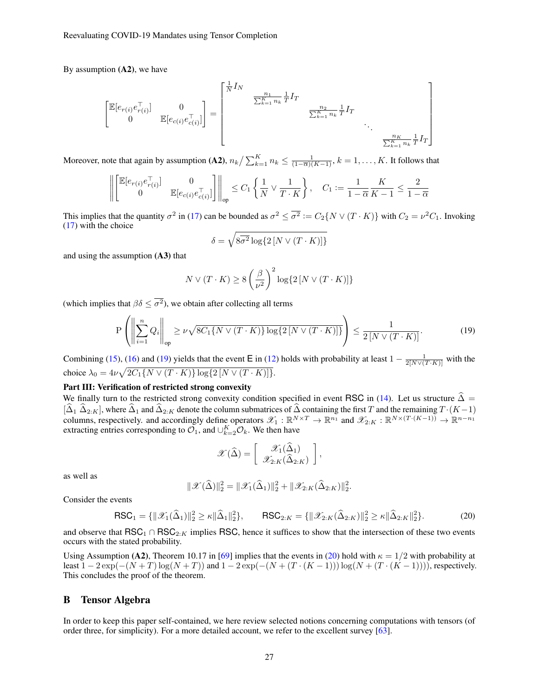By assumption  $(A2)$ , we have

$$
\begin{bmatrix} \mathbb{E}[e_{r(i)}e_{r(i)}^{\top}] & 0 \\ 0 & \mathbb{E}[e_{c(i)}e_{c(i)}^{\top}] \end{bmatrix} = \begin{bmatrix} \frac{1}{N}I_N & \frac{n_1}{\sum_{k=1}^{K} n_k} \frac{1}{T}I_T & & & \\ & \frac{n_2}{\sum_{k=1}^{K} n_k} \frac{1}{T}I_T & & \\ & & \ddots & \\ & & & & \frac{n_K}{\sum_{k=1}^{K} n_k} \frac{1}{T}I_T \end{bmatrix}
$$

Moreover, note that again by assumption (A2),  $n_k/\sum_{k=1}^K n_k \leq \frac{1}{(1-\overline{\alpha})(K-1)}, k=1,\ldots,K$ . It follows that

$$
\left\| \begin{bmatrix} \mathbb{E}[e_{r(i)}e_{r(i)}^{\top}] & 0 \\ 0 & \mathbb{E}[e_{c(i)}e_{c(i)}^{\top}] \end{bmatrix} \right\|_{op} \leq C_1 \left\{ \frac{1}{N} \vee \frac{1}{T \cdot K} \right\}, \quad C_1 := \frac{1}{1 - \overline{\alpha}} \frac{K}{K - 1} \leq \frac{2}{1 - \overline{\alpha}}
$$

This implies that the quantity  $\sigma^2$  in [\(17\)](#page-25-2) can be bounded as  $\sigma^2 \le \overline{\sigma^2} := C_2 \{ N \vee (T \cdot K) \}$  with  $C_2 = \nu^2 C_1$ . Invoking [\(17\)](#page-25-2) with the choice

<span id="page-26-0"></span>
$$
\delta = \sqrt{8\overline{\sigma^2} \log\{2 \left[ N \vee (T \cdot K) \right] \}}
$$

and using the assumption (A3) that

$$
N \vee (T \cdot K) \ge 8 \left(\frac{\beta}{\nu^2}\right)^2 \log\{2 \left[N \vee (T \cdot K)\right]\}
$$

(which implies that  $\beta \delta \leq \overline{\sigma^2}$ ), we obtain after collecting all terms

$$
\mathcal{P}\left(\left\|\sum_{i=1}^{n}Q_{i}\right\|_{\text{op}} \geq \nu\sqrt{8C_{1}\{N\vee(T\cdot K)\}\log\{2\left[N\vee(T\cdot K)\right]\}}\right) \leq \frac{1}{2\left[N\vee(T\cdot K)\right]}.
$$
\n(19)

Combining [\(15\)](#page-25-4), [\(16\)](#page-25-5) and [\(19\)](#page-26-0) yields that the event E in [\(12\)](#page-24-2) holds with probability at least  $1 - \frac{1}{2[N\vee (T\cdot K)]}$  with the choice  $\lambda_0 = 4\nu \sqrt{2C_1 \{N \vee (T \cdot K)\} \log \{2 [N \vee (T \cdot K)]\}}.$ 

# Part III: Verification of restricted strong convexity

We finally turn to the restricted strong convexity condition specified in event RSC in [\(14\)](#page-25-1). Let us structure  $\hat{\Delta}$  =  $[\Delta_1 \Delta_{2:K}]$ , where  $\Delta_1$  and  $\Delta_{2:K}$  denote the column submatrices of  $\Delta$  containing the first T and the remaining  $T \cdot (K-1)$ columns, respectively. and accordingly define operators  $\mathscr{X}_1 : \mathbb{R}^{N \times T} \to \mathbb{R}^{n_1}$  and  $\mathscr{X}_{2:K} : \mathbb{R}^{N \times (T \cdot (K-1))} \to \mathbb{R}^{n-n_1}$ extracting entries corresponding to  $\mathcal{O}_1$ , and  $\cup_{k=2}^K \mathcal{O}_k$ . We then have

$$
\mathscr{X}(\widehat{\Delta}) = \left[ \begin{array}{c} \mathscr{X}_1(\widehat{\Delta}_1) \\ \mathscr{X}_{2:K}(\widehat{\Delta}_{2:K}) \end{array} \right],
$$

as well as

$$
\|\mathcal{X}(\widehat{\Delta})\|_2^2 = \|\mathcal{X}_1(\widehat{\Delta}_1)\|_2^2 + \|\mathcal{X}_{2:K}(\widehat{\Delta}_{2:K})\|_2^2.
$$

Consider the events

<span id="page-26-1"></span>
$$
\text{RSC}_1 = \{ ||\mathcal{X}_1(\widehat{\Delta}_1)||_2^2 \ge \kappa ||\widehat{\Delta}_1||_2^2 \}, \qquad \text{RSC}_{2:K} = \{ ||\mathcal{X}_{2:K}(\widehat{\Delta}_{2:K})||_2^2 \ge \kappa ||\widehat{\Delta}_{2:K}||_2^2 \}. \tag{20}
$$

and observe that  $\text{RSC}_1 \cap \text{RSC}_{2:K}$  implies RSC, hence it suffices to show that the intersection of these two events occurs with the stated probability.

Using Assumption (A2), Theorem 10.17 in [\[69\]](#page-23-23) implies that the events in [\(20\)](#page-26-1) hold with  $\kappa = 1/2$  with probability at least  $1 - 2 \exp(-(N+T) \log(N+T))$  and  $1 - 2 \exp(-(N+(T \cdot (K-1)))) \log(N+(T \cdot (K-1))))$ , respectively. This concludes the proof of the theorem.

# B Tensor Algebra

In order to keep this paper self-contained, we here review selected notions concerning computations with tensors (of order three, for simplicity). For a more detailed account, we refer to the excellent survey [\[63\]](#page-23-17).